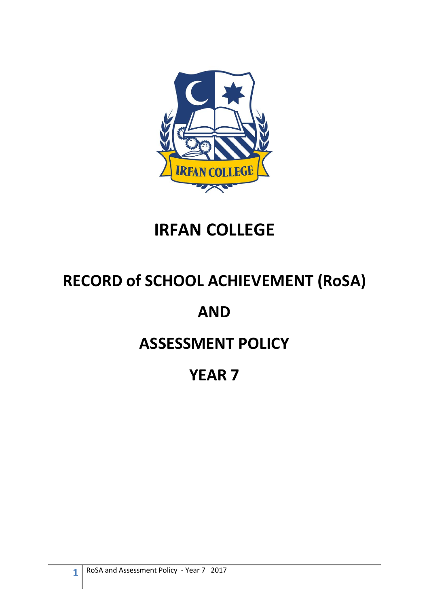

# **IRFAN COLLEGE**

# **RECORD of SCHOOL ACHIEVEMENT (RoSA)**

# **AND**

# **ASSESSMENT POLICY**

# **YEAR 7**

**1**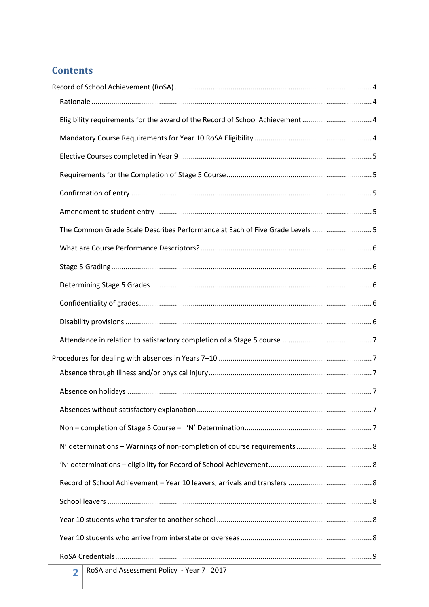## **Contents**

| Eligibility requirements for the award of the Record of School Achievement 4 |  |
|------------------------------------------------------------------------------|--|
|                                                                              |  |
|                                                                              |  |
|                                                                              |  |
|                                                                              |  |
|                                                                              |  |
| The Common Grade Scale Describes Performance at Each of Five Grade Levels 5  |  |
|                                                                              |  |
|                                                                              |  |
|                                                                              |  |
|                                                                              |  |
|                                                                              |  |
|                                                                              |  |
|                                                                              |  |
|                                                                              |  |
|                                                                              |  |
|                                                                              |  |
|                                                                              |  |
|                                                                              |  |
|                                                                              |  |
|                                                                              |  |
|                                                                              |  |
|                                                                              |  |
|                                                                              |  |
|                                                                              |  |
| RoSA and Assessment Policy - Year 7 2017                                     |  |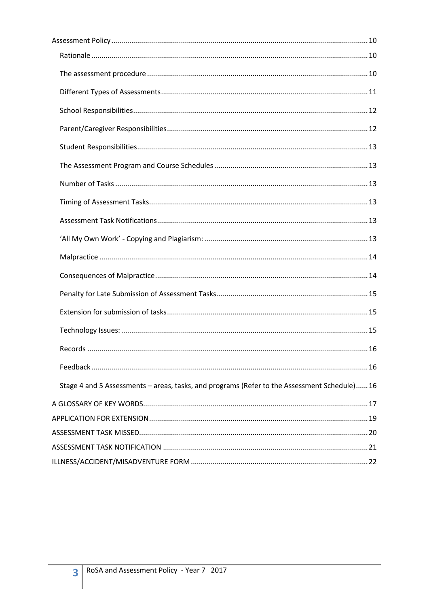| Stage 4 and 5 Assessments - areas, tasks, and programs (Refer to the Assessment Schedule)16 |  |
|---------------------------------------------------------------------------------------------|--|
|                                                                                             |  |
|                                                                                             |  |
|                                                                                             |  |
|                                                                                             |  |
|                                                                                             |  |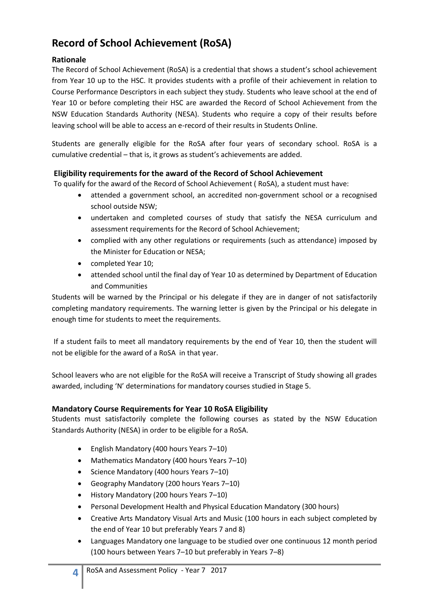## <span id="page-3-0"></span>**Record of School Achievement (RoSA)**

#### <span id="page-3-1"></span>**Rationale**

The Record of School Achievement (RoSA) is a credential that shows a student's school achievement from Year 10 up to the HSC. It provides students with a profile of their achievement in relation to Course Performance Descriptors in each subject they study. Students who leave school at the end of Year 10 or before completing their HSC are awarded the Record of School Achievement from the NSW Education Standards Authority (NESA). Students who require a copy of their results before leaving school will be able to access an e-record of their results in Students Online.

Students are generally eligible for the RoSA after four years of secondary school. RoSA is a cumulative credential – that is, it grows as student's achievements are added.

#### <span id="page-3-2"></span>**Eligibility requirements for the award of the Record of School Achievement**

To qualify for the award of the Record of School Achievement ( RoSA), a student must have:

- attended a government school, an accredited non-government school or a recognised school outside NSW;
- undertaken and completed courses of study that satisfy the NESA curriculum and assessment requirements for the Record of School Achievement;
- complied with any other regulations or requirements (such as attendance) imposed by the Minister for Education or NESA;
- completed Year 10;
- attended school until the final day of Year 10 as determined by Department of Education and Communities

Students will be warned by the Principal or his delegate if they are in danger of not satisfactorily completing mandatory requirements. The warning letter is given by the Principal or his delegate in enough time for students to meet the requirements.

If a student fails to meet all mandatory requirements by the end of Year 10, then the student will not be eligible for the award of a RoSA in that year.

School leavers who are not eligible for the RoSA will receive a Transcript of Study showing all grades awarded, including 'N' determinations for mandatory courses studied in Stage 5.

#### <span id="page-3-3"></span>**Mandatory Course Requirements for Year 10 RoSA Eligibility**

Students must satisfactorily complete the following courses as stated by the NSW Education Standards Authority (NESA) in order to be eligible for a RoSA.

- English Mandatory (400 hours Years 7–10)
- Mathematics Mandatory (400 hours Years 7–10)
- Science Mandatory (400 hours Years 7-10)
- Geography Mandatory (200 hours Years 7–10)
- History Mandatory (200 hours Years 7–10)
- Personal Development Health and Physical Education Mandatory (300 hours)
- Creative Arts Mandatory Visual Arts and Music (100 hours in each subject completed by the end of Year 10 but preferably Years 7 and 8)
- Languages Mandatory one language to be studied over one continuous 12 month period (100 hours between Years 7–10 but preferably in Years 7–8)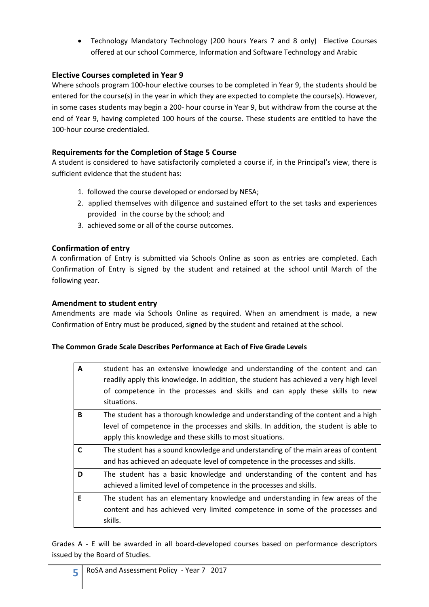Technology Mandatory Technology (200 hours Years 7 and 8 only) Elective Courses offered at our school Commerce, Information and Software Technology and Arabic

#### <span id="page-4-0"></span>**Elective Courses completed in Year 9**

Where schools program 100-hour elective courses to be completed in Year 9, the students should be entered for the course(s) in the year in which they are expected to complete the course(s). However, in some cases students may begin a 200- hour course in Year 9, but withdraw from the course at the end of Year 9, having completed 100 hours of the course. These students are entitled to have the 100-hour course credentialed.

#### <span id="page-4-1"></span>**Requirements for the Completion of Stage 5 Course**

A student is considered to have satisfactorily completed a course if, in the Principal's view, there is sufficient evidence that the student has:

- 1. followed the course developed or endorsed by NESA;
- 2. applied themselves with diligence and sustained effort to the set tasks and experiences provided in the course by the school; and
- 3. achieved some or all of the course outcomes.

#### <span id="page-4-2"></span>**Confirmation of entry**

A confirmation of Entry is submitted via Schools Online as soon as entries are completed. Each Confirmation of Entry is signed by the student and retained at the school until March of the following year.

#### <span id="page-4-3"></span>**Amendment to student entry**

Amendments are made via Schools Online as required. When an amendment is made, a new Confirmation of Entry must be produced, signed by the student and retained at the school.

#### <span id="page-4-4"></span>**The Common Grade Scale Describes Performance at Each of Five Grade Levels**

| A  | student has an extensive knowledge and understanding of the content and can<br>readily apply this knowledge. In addition, the student has achieved a very high level<br>of competence in the processes and skills and can apply these skills to new<br>situations. |
|----|--------------------------------------------------------------------------------------------------------------------------------------------------------------------------------------------------------------------------------------------------------------------|
| B  | The student has a thorough knowledge and understanding of the content and a high<br>level of competence in the processes and skills. In addition, the student is able to                                                                                           |
|    | apply this knowledge and these skills to most situations.                                                                                                                                                                                                          |
| C  | The student has a sound knowledge and understanding of the main areas of content<br>and has achieved an adequate level of competence in the processes and skills.                                                                                                  |
| D  | The student has a basic knowledge and understanding of the content and has<br>achieved a limited level of competence in the processes and skills.                                                                                                                  |
| E. | The student has an elementary knowledge and understanding in few areas of the<br>content and has achieved very limited competence in some of the processes and<br>skills.                                                                                          |

Grades A - E will be awarded in all board-developed courses based on performance descriptors issued by the Board of Studies.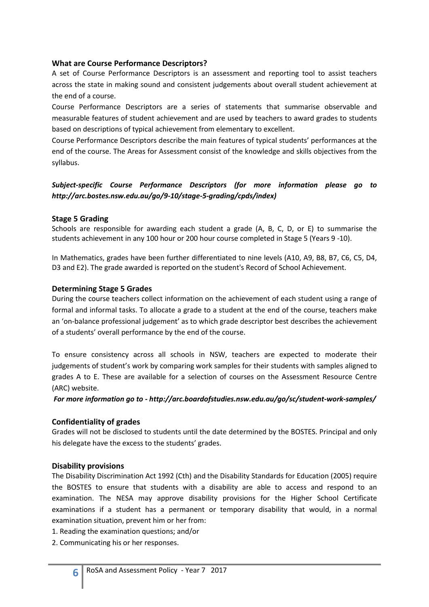#### <span id="page-5-0"></span>**What are Course Performance Descriptors?**

A set of Course Performance Descriptors is an assessment and reporting tool to assist teachers across the state in making sound and consistent judgements about overall student achievement at the end of a course.

Course Performance Descriptors are a series of statements that summarise observable and measurable features of student achievement and are used by teachers to award grades to students based on descriptions of typical achievement from elementary to excellent.

Course Performance Descriptors describe the main features of typical students' performances at the end of the course. The Areas for Assessment consist of the knowledge and skills objectives from the syllabus.

#### *Subject-specific Course Performance Descriptors (for more information please go to http://arc.bostes.nsw.edu.au/go/9-10/stage-5-grading/cpds/index)*

#### <span id="page-5-1"></span>**Stage 5 Grading**

Schools are responsible for awarding each student a grade (A, B, C, D, or E) to summarise the students achievement in any 100 hour or 200 hour course completed in Stage 5 (Years 9 -10).

In Mathematics, grades have been further differentiated to nine levels (A10, A9, B8, B7, C6, C5, D4, D3 and E2). The grade awarded is reported on the student's Record of School Achievement.

#### <span id="page-5-2"></span>**Determining Stage 5 Grades**

During the course teachers collect information on the achievement of each student using a range of formal and informal tasks. To allocate a grade to a student at the end of the course, teachers make an 'on-balance professional judgement' as to which grade descriptor best describes the achievement of a students' overall performance by the end of the course.

To ensure consistency across all schools in NSW, teachers are expected to moderate their judgements of student's work by comparing work samples for their students with samples aligned to grades A to E. These are available for a selection of courses on the Assessment Resource Centre (ARC) website.

*For more information go to - http://arc.boardofstudies.nsw.edu.au/go/sc/student-work-samples/* 

#### <span id="page-5-3"></span>**Confidentiality of grades**

Grades will not be disclosed to students until the date determined by the BOSTES. Principal and only his delegate have the excess to the students' grades.

#### <span id="page-5-4"></span>**Disability provisions**

The Disability Discrimination Act 1992 (Cth) and the Disability Standards for Education (2005) require the BOSTES to ensure that students with a disability are able to access and respond to an examination. The NESA may approve disability provisions for the Higher School Certificate examinations if a student has a permanent or temporary disability that would, in a normal examination situation, prevent him or her from:

- 1. Reading the examination questions; and/or
- 2. Communicating his or her responses.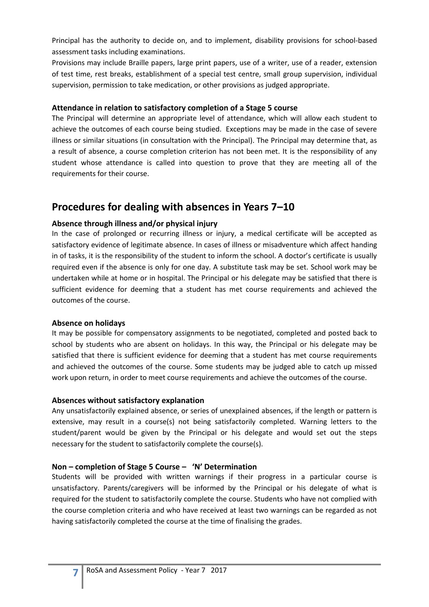Principal has the authority to decide on, and to implement, disability provisions for school-based assessment tasks including examinations.

Provisions may include Braille papers, large print papers, use of a writer, use of a reader, extension of test time, rest breaks, establishment of a special test centre, small group supervision, individual supervision, permission to take medication, or other provisions as judged appropriate.

#### <span id="page-6-0"></span>**Attendance in relation to satisfactory completion of a Stage 5 course**

The Principal will determine an appropriate level of attendance, which will allow each student to achieve the outcomes of each course being studied. Exceptions may be made in the case of severe illness or similar situations (in consultation with the Principal). The Principal may determine that, as a result of absence, a course completion criterion has not been met. It is the responsibility of any student whose attendance is called into question to prove that they are meeting all of the requirements for their course.

### <span id="page-6-1"></span>**Procedures for dealing with absences in Years 7–10**

#### <span id="page-6-2"></span>**Absence through illness and/or physical injury**

In the case of prolonged or recurring illness or injury, a medical certificate will be accepted as satisfactory evidence of legitimate absence. In cases of illness or misadventure which affect handing in of tasks, it is the responsibility of the student to inform the school. A doctor's certificate is usually required even if the absence is only for one day. A substitute task may be set. School work may be undertaken while at home or in hospital. The Principal or his delegate may be satisfied that there is sufficient evidence for deeming that a student has met course requirements and achieved the outcomes of the course.

#### <span id="page-6-3"></span>**Absence on holidays**

It may be possible for compensatory assignments to be negotiated, completed and posted back to school by students who are absent on holidays. In this way, the Principal or his delegate may be satisfied that there is sufficient evidence for deeming that a student has met course requirements and achieved the outcomes of the course. Some students may be judged able to catch up missed work upon return, in order to meet course requirements and achieve the outcomes of the course.

#### <span id="page-6-4"></span>**Absences without satisfactory explanation**

Any unsatisfactorily explained absence, or series of unexplained absences, if the length or pattern is extensive, may result in a course(s) not being satisfactorily completed. Warning letters to the student/parent would be given by the Principal or his delegate and would set out the steps necessary for the student to satisfactorily complete the course(s).

#### <span id="page-6-5"></span>**Non – completion of Stage 5 Course – 'N' Determination**

Students will be provided with written warnings if their progress in a particular course is unsatisfactory. Parents/caregivers will be informed by the Principal or his delegate of what is required for the student to satisfactorily complete the course. Students who have not complied with the course completion criteria and who have received at least two warnings can be regarded as not having satisfactorily completed the course at the time of finalising the grades.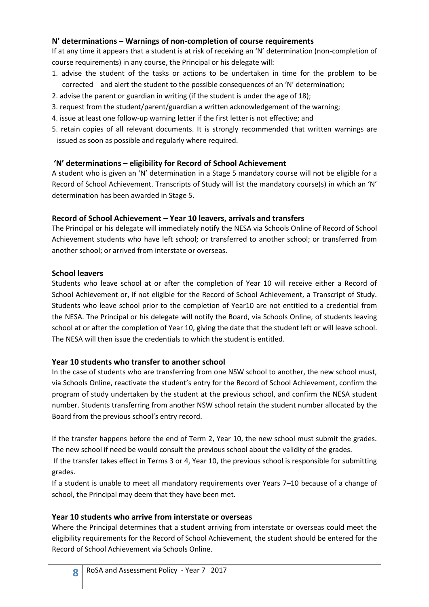#### <span id="page-7-0"></span>**N' determinations – Warnings of non-completion of course requirements**

If at any time it appears that a student is at risk of receiving an 'N' determination (non-completion of course requirements) in any course, the Principal or his delegate will:

- 1. advise the student of the tasks or actions to be undertaken in time for the problem to be corrected and alert the student to the possible consequences of an 'N' determination;
- 2. advise the parent or guardian in writing (if the student is under the age of 18);
- 3. request from the student/parent/guardian a written acknowledgement of the warning;
- 4. issue at least one follow-up warning letter if the first letter is not effective; and
- 5. retain copies of all relevant documents. It is strongly recommended that written warnings are issued as soon as possible and regularly where required.

#### <span id="page-7-1"></span>**'N' determinations – eligibility for Record of School Achievement**

A student who is given an 'N' determination in a Stage 5 mandatory course will not be eligible for a Record of School Achievement. Transcripts of Study will list the mandatory course(s) in which an 'N' determination has been awarded in Stage 5.

#### <span id="page-7-2"></span>**Record of School Achievement – Year 10 leavers, arrivals and transfers**

The Principal or his delegate will immediately notify the NESA via Schools Online of Record of School Achievement students who have left school; or transferred to another school; or transferred from another school; or arrived from interstate or overseas.

#### <span id="page-7-3"></span>**School leavers**

Students who leave school at or after the completion of Year 10 will receive either a Record of School Achievement or, if not eligible for the Record of School Achievement, a Transcript of Study. Students who leave school prior to the completion of Year10 are not entitled to a credential from the NESA. The Principal or his delegate will notify the Board, via Schools Online, of students leaving school at or after the completion of Year 10, giving the date that the student left or will leave school. The NESA will then issue the credentials to which the student is entitled.

#### <span id="page-7-4"></span>**Year 10 students who transfer to another school**

In the case of students who are transferring from one NSW school to another, the new school must, via Schools Online, reactivate the student's entry for the Record of School Achievement, confirm the program of study undertaken by the student at the previous school, and confirm the NESA student number. Students transferring from another NSW school retain the student number allocated by the Board from the previous school's entry record.

If the transfer happens before the end of Term 2, Year 10, the new school must submit the grades. The new school if need be would consult the previous school about the validity of the grades.

If the transfer takes effect in Terms 3 or 4, Year 10, the previous school is responsible for submitting grades.

If a student is unable to meet all mandatory requirements over Years 7–10 because of a change of school, the Principal may deem that they have been met.

#### <span id="page-7-5"></span>**Year 10 students who arrive from interstate or overseas**

Where the Principal determines that a student arriving from interstate or overseas could meet the eligibility requirements for the Record of School Achievement, the student should be entered for the Record of School Achievement via Schools Online.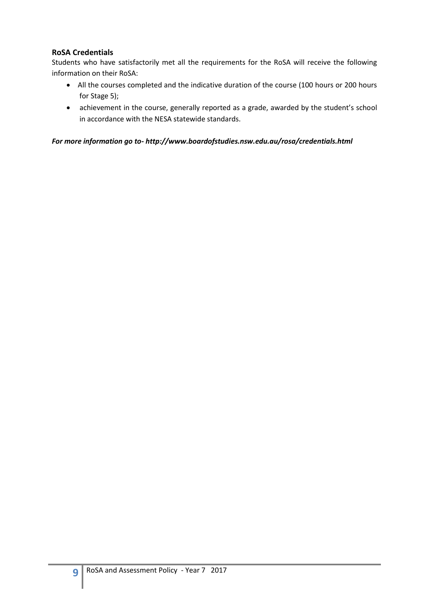#### <span id="page-8-0"></span>**RoSA Credentials**

Students who have satisfactorily met all the requirements for the RoSA will receive the following information on their RoSA:

- All the courses completed and the indicative duration of the course (100 hours or 200 hours for Stage 5);
- achievement in the course, generally reported as a grade, awarded by the student's school in accordance with the NESA statewide standards.

*For more information go to- http://www.boardofstudies.nsw.edu.au/rosa/credentials.html*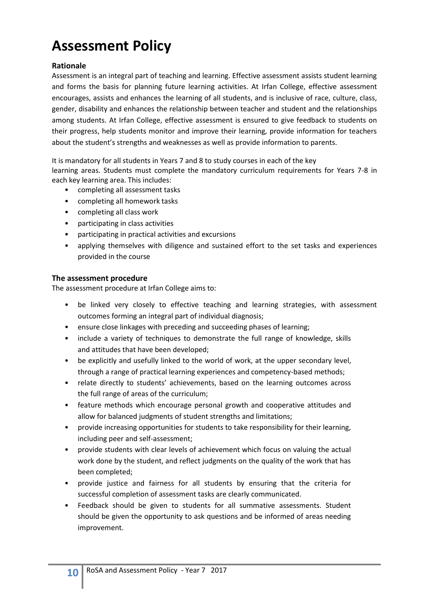# <span id="page-9-0"></span>**Assessment Policy**

#### <span id="page-9-1"></span>**Rationale**

Assessment is an integral part of teaching and learning. Effective assessment assists student learning and forms the basis for planning future learning activities. At Irfan College, effective assessment encourages, assists and enhances the learning of all students, and is inclusive of race, culture, class, gender, disability and enhances the relationship between teacher and student and the relationships among students. At Irfan College, effective assessment is ensured to give feedback to students on their progress, help students monitor and improve their learning, provide information for teachers about the student's strengths and weaknesses as well as provide information to parents.

It is mandatory for all students in Years 7 and 8 to study courses in each of the key

learning areas. Students must complete the mandatory curriculum requirements for Years 7-8 in each key learning area. This includes:

- completing all assessment tasks
- completing all homework tasks
- completing all class work
- participating in class activities
- participating in practical activities and excursions
- applying themselves with diligence and sustained effort to the set tasks and experiences provided in the course

#### <span id="page-9-2"></span>**The assessment procedure**

The assessment procedure at Irfan College aims to:

- be linked very closely to effective teaching and learning strategies, with assessment outcomes forming an integral part of individual diagnosis;
- ensure close linkages with preceding and succeeding phases of learning;
- include a variety of techniques to demonstrate the full range of knowledge, skills and attitudes that have been developed;
- be explicitly and usefully linked to the world of work, at the upper secondary level, through a range of practical learning experiences and competency-based methods;
- relate directly to students' achievements, based on the learning outcomes across the full range of areas of the curriculum;
- feature methods which encourage personal growth and cooperative attitudes and allow for balanced judgments of student strengths and limitations;
- provide increasing opportunities for students to take responsibility for their learning, including peer and self-assessment;
- provide students with clear levels of achievement which focus on valuing the actual work done by the student, and reflect judgments on the quality of the work that has been completed;
- provide justice and fairness for all students by ensuring that the criteria for successful completion of assessment tasks are clearly communicated.
- Feedback should be given to students for all summative assessments. Student should be given the opportunity to ask questions and be informed of areas needing improvement.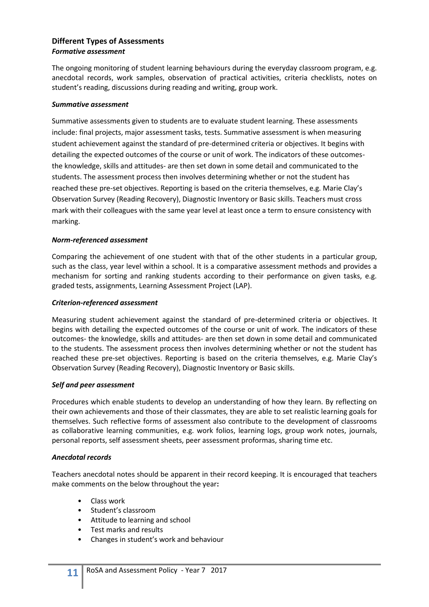#### <span id="page-10-0"></span>**Different Types of Assessments** *Formative assessment*

The ongoing monitoring of student learning behaviours during the everyday classroom program, e.g. anecdotal records, work samples, observation of practical activities, criteria checklists, notes on student's reading, discussions during reading and writing, group work.

#### *Summative assessment*

Summative assessments given to students are to evaluate student learning. These assessments include: final projects, major assessment tasks, tests. Summative assessment is when measuring student achievement against the standard of pre-determined criteria or objectives. It begins with detailing the expected outcomes of the course or unit of work. The indicators of these outcomesthe knowledge, skills and attitudes- are then set down in some detail and communicated to the students. The assessment process then involves determining whether or not the student has reached these pre-set objectives. Reporting is based on the criteria themselves, e.g. Marie Clay's Observation Survey (Reading Recovery), Diagnostic Inventory or Basic skills. Teachers must cross mark with their colleagues with the same year level at least once a term to ensure consistency with marking.

#### *Norm-referenced assessment*

Comparing the achievement of one student with that of the other students in a particular group, such as the class, year level within a school. It is a comparative assessment methods and provides a mechanism for sorting and ranking students according to their performance on given tasks, e.g. graded tests, assignments, Learning Assessment Project (LAP).

#### *Criterion-referenced assessment*

Measuring student achievement against the standard of pre-determined criteria or objectives. It begins with detailing the expected outcomes of the course or unit of work. The indicators of these outcomes- the knowledge, skills and attitudes- are then set down in some detail and communicated to the students. The assessment process then involves determining whether or not the student has reached these pre-set objectives. Reporting is based on the criteria themselves, e.g. Marie Clay's Observation Survey (Reading Recovery), Diagnostic Inventory or Basic skills.

#### *Self and peer assessment*

Procedures which enable students to develop an understanding of how they learn. By reflecting on their own achievements and those of their classmates, they are able to set realistic learning goals for themselves. Such reflective forms of assessment also contribute to the development of classrooms as collaborative learning communities, e.g. work folios, learning logs, group work notes, journals, personal reports, self assessment sheets, peer assessment proformas, sharing time etc.

#### *Anecdotal records*

Teachers anecdotal notes should be apparent in their record keeping. It is encouraged that teachers make comments on the below throughout the year**:**

- Class work
- Student's classroom
- Attitude to learning and school
- Test marks and results
- Changes in student's work and behaviour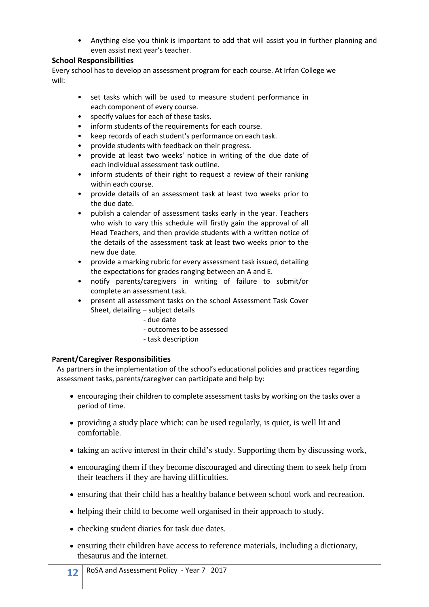• Anything else you think is important to add that will assist you in further planning and even assist next year's teacher.

#### <span id="page-11-0"></span>**School Responsibilities**

Every school has to develop an assessment program for each course. At Irfan College we will:

- set tasks which will be used to measure student performance in each component of every course.
- specify values for each of these tasks.
- inform students of the requirements for each course.
- keep records of each student's performance on each task.
- provide students with feedback on their progress.
- provide at least two weeks' notice in writing of the due date of each individual assessment task outline.
- inform students of their right to request a review of their ranking within each course.
- provide details of an assessment task at least two weeks prior to the due date.
- publish a calendar of assessment tasks early in the year. Teachers who wish to vary this schedule will firstly gain the approval of all Head Teachers, and then provide students with a written notice of the details of the assessment task at least two weeks prior to the new due date.
- provide a marking rubric for every assessment task issued, detailing the expectations for grades ranging between an A and E.
- notify parents/caregivers in writing of failure to submit/or complete an assessment task.
- present all assessment tasks on the school Assessment Task Cover Sheet, detailing – subject details
	- due date
	- outcomes to be assessed
	- task description

#### <span id="page-11-1"></span>**Parent/Caregiver Responsibilities**

As partners in the implementation of the school's educational policies and practices regarding assessment tasks, parents/caregiver can participate and help by:

- encouraging their children to complete assessment tasks by working on the tasks over a period of time.
- providing a study place which: can be used regularly, is quiet, is well lit and comfortable.
- taking an active interest in their child's study. Supporting them by discussing work,
- encouraging them if they become discouraged and directing them to seek help from their teachers if they are having difficulties.
- ensuring that their child has a healthy balance between school work and recreation.
- helping their child to become well organised in their approach to study.
- checking student diaries for task due dates.
- ensuring their children have access to reference materials, including a dictionary, thesaurus and the internet.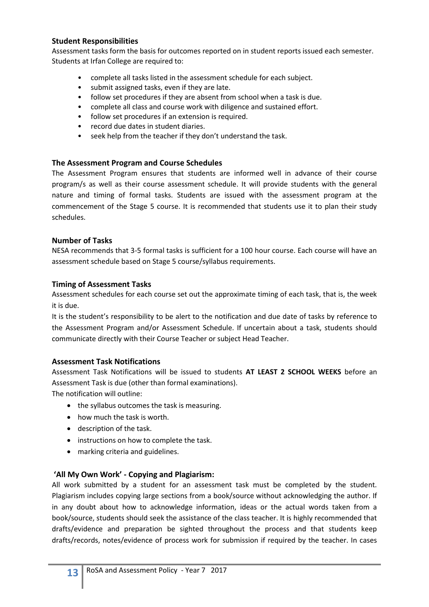#### <span id="page-12-0"></span>**Student Responsibilities**

Assessment tasks form the basis for outcomes reported on in student reports issued each semester. Students at Irfan College are required to:

- complete all tasks listed in the assessment schedule for each subject.
- submit assigned tasks, even if they are late.
- follow set procedures if they are absent from school when a task is due.
- complete all class and course work with diligence and sustained effort.
- follow set procedures if an extension is required.<br>• record due dates in student diaries.
- record due dates in student diaries.
- seek help from the teacher if they don't understand the task.

#### <span id="page-12-1"></span>**The Assessment Program and Course Schedules**

The Assessment Program ensures that students are informed well in advance of their course program/s as well as their course assessment schedule. It will provide students with the general nature and timing of formal tasks. Students are issued with the assessment program at the commencement of the Stage 5 course. It is recommended that students use it to plan their study schedules.

#### <span id="page-12-2"></span>**Number of Tasks**

NESA recommends that 3-5 formal tasks is sufficient for a 100 hour course. Each course will have an assessment schedule based on Stage 5 course/syllabus requirements.

#### <span id="page-12-3"></span>**Timing of Assessment Tasks**

Assessment schedules for each course set out the approximate timing of each task, that is, the week it is due.

It is the student's responsibility to be alert to the notification and due date of tasks by reference to the Assessment Program and/or Assessment Schedule. If uncertain about a task, students should communicate directly with their Course Teacher or subject Head Teacher.

#### <span id="page-12-4"></span>**Assessment Task Notifications**

Assessment Task Notifications will be issued to students **AT LEAST 2 SCHOOL WEEKS** before an Assessment Task is due (other than formal examinations).

The notification will outline:

- the syllabus outcomes the task is measuring.
- how much the task is worth.
- description of the task.
- instructions on how to complete the task.
- marking criteria and guidelines.

#### <span id="page-12-5"></span>**'All My Own Work' - Copying and Plagiarism:**

All work submitted by a student for an assessment task must be completed by the student. Plagiarism includes copying large sections from a book/source without acknowledging the author. If in any doubt about how to acknowledge information, ideas or the actual words taken from a book/source, students should seek the assistance of the class teacher. It is highly recommended that drafts/evidence and preparation be sighted throughout the process and that students keep drafts/records, notes/evidence of process work for submission if required by the teacher. In cases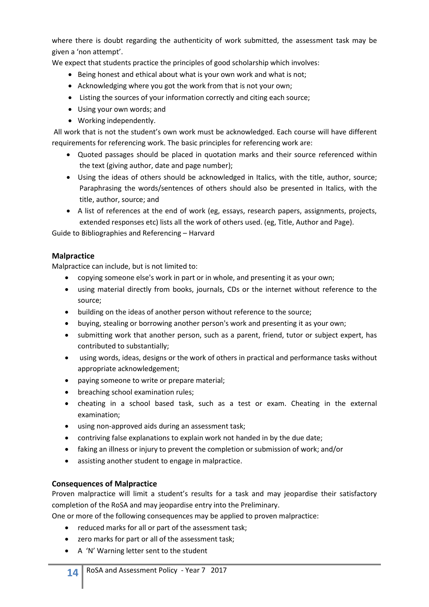where there is doubt regarding the authenticity of work submitted, the assessment task may be given a 'non attempt'.

We expect that students practice the principles of good scholarship which involves:

- Being honest and ethical about what is your own work and what is not;
- Acknowledging where you got the work from that is not your own;
- Listing the sources of your information correctly and citing each source;
- Using your own words; and
- Working independently.

All work that is not the student's own work must be acknowledged. Each course will have different requirements for referencing work. The basic principles for referencing work are:

- Quoted passages should be placed in quotation marks and their source referenced within the text (giving author, date and page number);
- Using the ideas of others should be acknowledged in Italics, with the title, author, source; Paraphrasing the words/sentences of others should also be presented in Italics, with the title, author, source; and
- A list of references at the end of work (eg, essays, research papers, assignments, projects, extended responses etc) lists all the work of others used. (eg, Title, Author and Page).

Guide to Bibliographies and Referencing – Harvard

#### <span id="page-13-0"></span>**Malpractice**

Malpractice can include, but is not limited to:

- copying someone else's work in part or in whole, and presenting it as your own;
- using material directly from books, journals, CDs or the internet without reference to the source;
- building on the ideas of another person without reference to the source;
- buying, stealing or borrowing another person's work and presenting it as your own;
- submitting work that another person, such as a parent, friend, tutor or subject expert, has contributed to substantially;
- using words, ideas, designs or the work of others in practical and performance tasks without appropriate acknowledgement;
- paying someone to write or prepare material;
- breaching school examination rules;
- cheating in a school based task, such as a test or exam. Cheating in the external examination;
- using non-approved aids during an assessment task;
- contriving false explanations to explain work not handed in by the due date;
- faking an illness or injury to prevent the completion or submission of work; and/or
- assisting another student to engage in malpractice.

#### <span id="page-13-1"></span>**Consequences of Malpractice**

Proven malpractice will limit a student's results for a task and may jeopardise their satisfactory completion of the RoSA and may jeopardise entry into the Preliminary.

One or more of the following consequences may be applied to proven malpractice:

- reduced marks for all or part of the assessment task;
- zero marks for part or all of the assessment task;
- A 'N' Warning letter sent to the student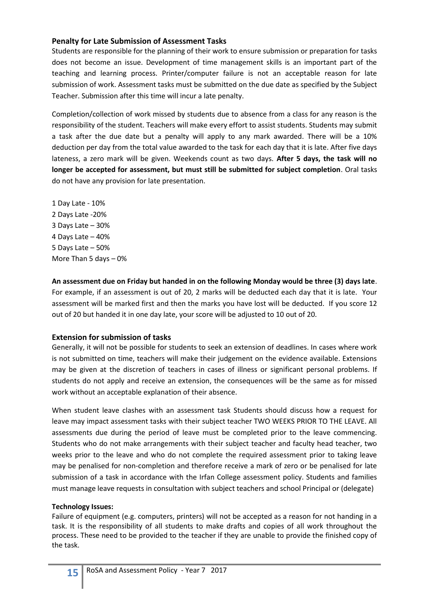#### <span id="page-14-0"></span>**Penalty for Late Submission of Assessment Tasks**

Students are responsible for the planning of their work to ensure submission or preparation for tasks does not become an issue. Development of time management skills is an important part of the teaching and learning process. Printer/computer failure is not an acceptable reason for late submission of work. Assessment tasks must be submitted on the due date as specified by the Subject Teacher. Submission after this time will incur a late penalty.

Completion/collection of work missed by students due to absence from a class for any reason is the responsibility of the student. Teachers will make every effort to assist students. Students may submit a task after the due date but a penalty will apply to any mark awarded. There will be a 10% deduction per day from the total value awarded to the task for each day that it is late. After five days lateness, a zero mark will be given. Weekends count as two days. **After 5 days, the task will no longer be accepted for assessment, but must still be submitted for subject completion**. Oral tasks do not have any provision for late presentation.

1 Day Late - 10% 2 Days Late -20% 3 Days Late – 30% 4 Days Late – 40% 5 Days Late – 50% More Than 5 days – 0%

**An assessment due on Friday but handed in on the following Monday would be three (3) days late**. For example, if an assessment is out of 20, 2 marks will be deducted each day that it is late. Your assessment will be marked first and then the marks you have lost will be deducted. If you score 12 out of 20 but handed it in one day late, your score will be adjusted to 10 out of 20.

#### <span id="page-14-1"></span>**Extension for submission of tasks**

Generally, it will not be possible for students to seek an extension of deadlines. In cases where work is not submitted on time, teachers will make their judgement on the evidence available. Extensions may be given at the discretion of teachers in cases of illness or significant personal problems. If students do not apply and receive an extension, the consequences will be the same as for missed work without an acceptable explanation of their absence.

When student leave clashes with an assessment task Students should discuss how a request for leave may impact assessment tasks with their subject teacher TWO WEEKS PRIOR TO THE LEAVE. All assessments due during the period of leave must be completed prior to the leave commencing. Students who do not make arrangements with their subject teacher and faculty head teacher, two weeks prior to the leave and who do not complete the required assessment prior to taking leave may be penalised for non-completion and therefore receive a mark of zero or be penalised for late submission of a task in accordance with the Irfan College assessment policy. Students and families must manage leave requests in consultation with subject teachers and school Principal or (delegate)

#### <span id="page-14-2"></span>**Technology Issues:**

Failure of equipment (e.g. computers, printers) will not be accepted as a reason for not handing in a task. It is the responsibility of all students to make drafts and copies of all work throughout the process. These need to be provided to the teacher if they are unable to provide the finished copy of the task.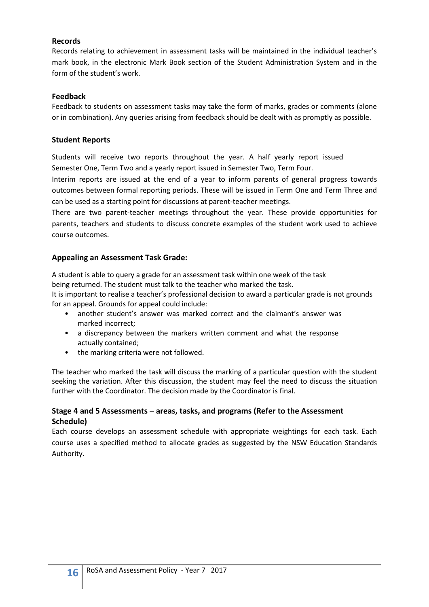#### <span id="page-15-0"></span>**Records**

Records relating to achievement in assessment tasks will be maintained in the individual teacher's mark book, in the electronic Mark Book section of the Student Administration System and in the form of the student's work.

#### <span id="page-15-1"></span>**Feedback**

Feedback to students on assessment tasks may take the form of marks, grades or comments (alone or in combination). Any queries arising from feedback should be dealt with as promptly as possible.

#### **Student Reports**

Students will receive two reports throughout the year. A half yearly report issued Semester One, Term Two and a yearly report issued in Semester Two, Term Four.

Interim reports are issued at the end of a year to inform parents of general progress towards outcomes between formal reporting periods. These will be issued in Term One and Term Three and can be used as a starting point for discussions at parent-teacher meetings.

There are two parent-teacher meetings throughout the year. These provide opportunities for parents, teachers and students to discuss concrete examples of the student work used to achieve course outcomes.

#### **Appealing an Assessment Task Grade:**

A student is able to query a grade for an assessment task within one week of the task being returned. The student must talk to the teacher who marked the task.

It is important to realise a teacher's professional decision to award a particular grade is not grounds for an appeal. Grounds for appeal could include:

- another student's answer was marked correct and the claimant's answer was marked incorrect;
- a discrepancy between the markers written comment and what the response actually contained;
- the marking criteria were not followed.

The teacher who marked the task will discuss the marking of a particular question with the student seeking the variation. After this discussion, the student may feel the need to discuss the situation further with the Coordinator. The decision made by the Coordinator is final.

#### <span id="page-15-2"></span>**Stage 4 and 5 Assessments – areas, tasks, and programs (Refer to the Assessment Schedule)**

Each course develops an assessment schedule with appropriate weightings for each task. Each course uses a specified method to allocate grades as suggested by the NSW Education Standards Authority.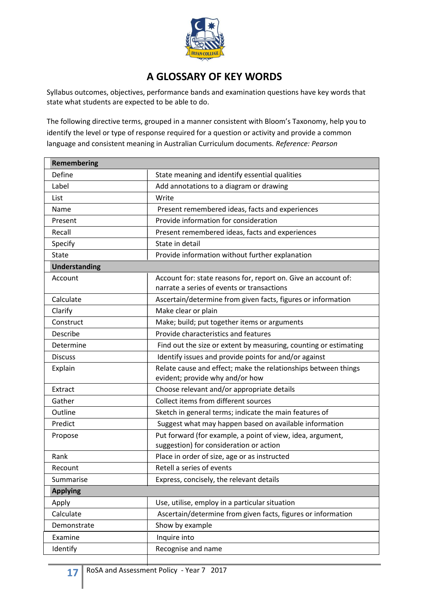

### **A GLOSSARY OF KEY WORDS**

<span id="page-16-0"></span>Syllabus outcomes, objectives, performance bands and examination questions have key words that state what students are expected to be able to do.

The following directive terms, grouped in a manner consistent with Bloom's Taxonomy, help you to identify the level or type of response required for a question or activity and provide a common language and consistent meaning in Australian Curriculum documents. *Reference: Pearson*

| <b>Remembering</b> |                                                                                                              |
|--------------------|--------------------------------------------------------------------------------------------------------------|
| Define             | State meaning and identify essential qualities                                                               |
| Label              | Add annotations to a diagram or drawing                                                                      |
| List               | Write                                                                                                        |
| Name               | Present remembered ideas, facts and experiences                                                              |
| Present            | Provide information for consideration                                                                        |
| Recall             | Present remembered ideas, facts and experiences                                                              |
| Specify            | State in detail                                                                                              |
| State              | Provide information without further explanation                                                              |
| Understanding      |                                                                                                              |
| Account            | Account for: state reasons for, report on. Give an account of:<br>narrate a series of events or transactions |
| Calculate          | Ascertain/determine from given facts, figures or information                                                 |
| Clarify            | Make clear or plain                                                                                          |
| Construct          | Make; build; put together items or arguments                                                                 |
| Describe           | Provide characteristics and features                                                                         |
| Determine          | Find out the size or extent by measuring, counting or estimating                                             |
| <b>Discuss</b>     | Identify issues and provide points for and/or against                                                        |
| Explain            | Relate cause and effect; make the relationships between things<br>evident; provide why and/or how            |
| Extract            | Choose relevant and/or appropriate details                                                                   |
| Gather             | Collect items from different sources                                                                         |
| Outline            | Sketch in general terms; indicate the main features of                                                       |
| Predict            | Suggest what may happen based on available information                                                       |
| Propose            | Put forward (for example, a point of view, idea, argument,<br>suggestion) for consideration or action        |
| Rank               | Place in order of size, age or as instructed                                                                 |
| Recount            | Retell a series of events                                                                                    |
| Summarise          | Express, concisely, the relevant details                                                                     |
| <b>Applying</b>    |                                                                                                              |
| Apply              | Use, utilise, employ in a particular situation                                                               |
| Calculate          | Ascertain/determine from given facts, figures or information                                                 |
| Demonstrate        | Show by example                                                                                              |
| Examine            | Inquire into                                                                                                 |
| Identify           | Recognise and name                                                                                           |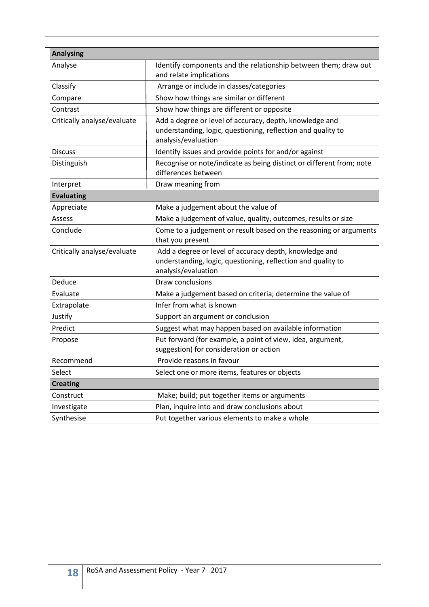| <b>Analysing</b>            |                                                                                                                                                |
|-----------------------------|------------------------------------------------------------------------------------------------------------------------------------------------|
| Analyse                     | Identify components and the relationship between them; draw out<br>and relate implications                                                     |
| Classify                    | Arrange or include in classes/categories                                                                                                       |
| Compare                     | Show how things are similar or different                                                                                                       |
| Contrast                    | Show how things are different or opposite                                                                                                      |
| Critically analyse/evaluate | Add a degree or level of accuracy, depth, knowledge and<br>understanding, logic, questioning, reflection and quality to<br>analysis/evaluation |
| <b>Discuss</b>              | Identify issues and provide points for and/or against                                                                                          |
| Distinguish                 | Recognise or note/indicate as being distinct or different from; note<br>differences between                                                    |
| Interpret                   | Draw meaning from                                                                                                                              |
| <b>Evaluating</b>           |                                                                                                                                                |
| Appreciate                  | Make a judgement about the value of                                                                                                            |
| Assess                      | Make a judgement of value, quality, outcomes, results or size                                                                                  |
| Conclude                    | Come to a judgement or result based on the reasoning or arguments<br>that you present                                                          |
| Critically analyse/evaluate | Add a degree or level of accuracy depth, knowledge and<br>understanding, logic, questioning, reflection and quality to<br>analysis/evaluation  |
| Deduce                      | Draw conclusions                                                                                                                               |
| Evaluate                    | Make a judgement based on criteria; determine the value of                                                                                     |
| Extrapolate                 | Infer from what is known                                                                                                                       |
| Justify                     | Support an argument or conclusion                                                                                                              |
| Predict                     | Suggest what may happen based on available information                                                                                         |
| Propose                     | Put forward (for example, a point of view, idea, argument,<br>suggestion) for consideration or action                                          |
| Recommend                   | Provide reasons in favour                                                                                                                      |
| Select                      | Select one or more items, features or objects                                                                                                  |
| <b>Creating</b>             |                                                                                                                                                |
| Construct                   | Make; build; put together items or arguments                                                                                                   |
| Investigate                 | Plan, inquire into and draw conclusions about                                                                                                  |
| Synthesise                  | Put together various elements to make a whole                                                                                                  |

 $\mathbf{L}$ 

٦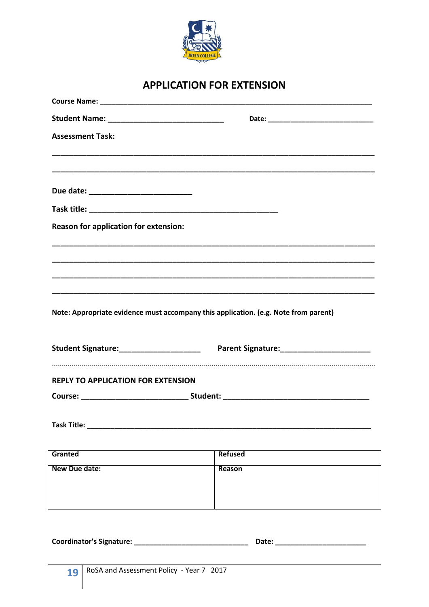

## **APPLICATION FOR EXTENSION**

<span id="page-18-0"></span>

| <b>Assessment Task:</b>                      |                                                                                     |
|----------------------------------------------|-------------------------------------------------------------------------------------|
|                                              |                                                                                     |
|                                              |                                                                                     |
|                                              |                                                                                     |
| <b>Reason for application for extension:</b> |                                                                                     |
|                                              |                                                                                     |
|                                              |                                                                                     |
|                                              |                                                                                     |
|                                              | Note: Appropriate evidence must accompany this application. (e.g. Note from parent) |
|                                              |                                                                                     |
| <b>REPLY TO APPLICATION FOR EXTENSION</b>    |                                                                                     |
|                                              |                                                                                     |
|                                              |                                                                                     |
|                                              |                                                                                     |
| Granted                                      | <b>Refused</b>                                                                      |
| New Due date:                                | Reason                                                                              |
|                                              |                                                                                     |
|                                              |                                                                                     |
|                                              |                                                                                     |
|                                              | Date: _______________                                                               |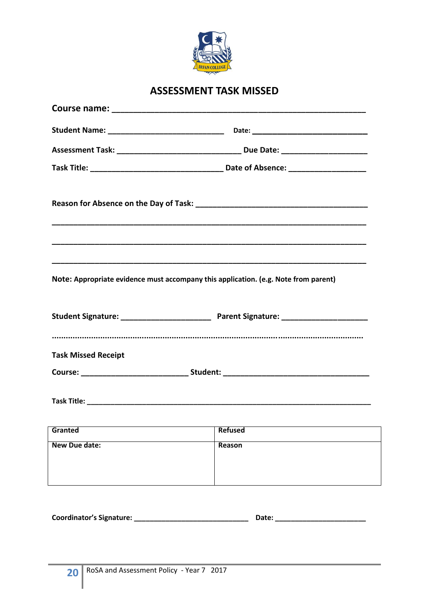

## **ASSESSMENT TASK MISSED**

<span id="page-19-0"></span>

| Note: Appropriate evidence must accompany this application. (e.g. Note from parent)                                                                                                                                            |        |  |  |  |
|--------------------------------------------------------------------------------------------------------------------------------------------------------------------------------------------------------------------------------|--------|--|--|--|
|                                                                                                                                                                                                                                |        |  |  |  |
|                                                                                                                                                                                                                                |        |  |  |  |
| <b>Task Missed Receipt</b>                                                                                                                                                                                                     |        |  |  |  |
| Course: __________________________________Student: ______________________________                                                                                                                                              |        |  |  |  |
|                                                                                                                                                                                                                                |        |  |  |  |
| example of the contract of the contract of the contract of the contract of the contract of the contract of the contract of the contract of the contract of the contract of the contract of the contract of the contract of the |        |  |  |  |
| New Due date:                                                                                                                                                                                                                  | Reason |  |  |  |
|                                                                                                                                                                                                                                |        |  |  |  |
|                                                                                                                                                                                                                                |        |  |  |  |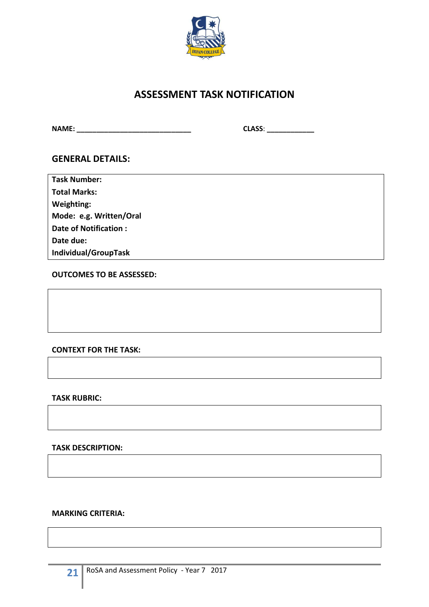

## **ASSESSMENT TASK NOTIFICATION**

<span id="page-20-0"></span>**NAME: \_\_\_\_\_\_\_\_\_\_\_\_\_\_\_\_\_\_\_\_\_\_\_\_\_\_\_\_\_ CLASS**: **\_\_\_\_\_\_\_\_\_\_\_\_**

#### **GENERAL DETAILS:**

| <b>Task Number:</b>     |
|-------------------------|
| <b>Total Marks:</b>     |
| Weighting:              |
| Mode: e.g. Written/Oral |
| Date of Notification:   |
| Date due:               |

**Individual/GroupTask**

**OUTCOMES TO BE ASSESSED:**

#### **CONTEXT FOR THE TASK:**

#### **TASK RUBRIC:**

**TASK DESCRIPTION:**

#### **MARKING CRITERIA:**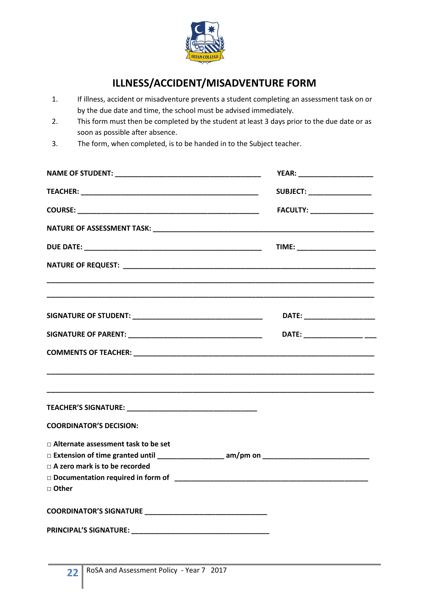

## **ILLNESS/ACCIDENT/MISADVENTURE FORM**

- <span id="page-21-0"></span>1. If illness, accident or misadventure prevents a student completing an assessment task on or by the due date and time, the school must be advised immediately.
- 2. This form must then be completed by the student at least 3 days prior to the due date or as soon as possible after absence.
- 3. The form, when completed, is to be handed in to the Subject teacher.

|                                                                                          | YEAR: _______________________      |  |
|------------------------------------------------------------------------------------------|------------------------------------|--|
|                                                                                          | <b>SUBJECT: __________________</b> |  |
|                                                                                          | FACULTY: ___________________       |  |
|                                                                                          |                                    |  |
|                                                                                          | TIME: ________________________     |  |
| NATURE OF REQUEST: NATURE OF REQUEST:                                                    |                                    |  |
|                                                                                          | DATE: _______________________      |  |
|                                                                                          | DATE: _____________________        |  |
|                                                                                          |                                    |  |
|                                                                                          |                                    |  |
| <b>COORDINATOR'S DECISION:</b>                                                           |                                    |  |
| □ Alternate assessment task to be set<br>$\Box$ A zero mark is to be recorded<br>□ Other |                                    |  |
|                                                                                          |                                    |  |
|                                                                                          |                                    |  |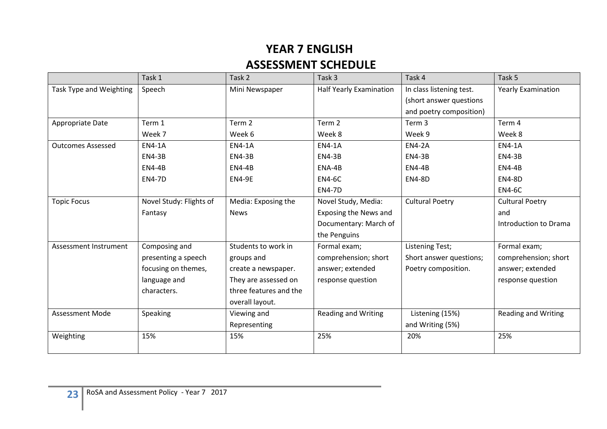## **YEAR 7 ENGLISH ASSESSMENT SCHEDULE**

|                          | Task 1                  | Task 2                 | Task 3                         | Task 4                   | Task 5                     |
|--------------------------|-------------------------|------------------------|--------------------------------|--------------------------|----------------------------|
| Task Type and Weighting  | Speech                  | Mini Newspaper         | <b>Half Yearly Examination</b> | In class listening test. | <b>Yearly Examination</b>  |
|                          |                         |                        |                                | (short answer questions  |                            |
|                          |                         |                        |                                | and poetry composition)  |                            |
| Appropriate Date         | Term 1                  | Term 2                 | Term <sub>2</sub>              | Term 3                   | Term 4                     |
|                          | Week 7                  | Week 6                 | Week 8                         | Week 9                   | Week 8                     |
| <b>Outcomes Assessed</b> | <b>EN4-1A</b>           | <b>EN4-1A</b>          | <b>EN4-1A</b>                  | <b>EN4-2A</b>            | <b>EN4-1A</b>              |
|                          | <b>EN4-3B</b>           | <b>EN4-3B</b>          | <b>EN4-3B</b>                  | <b>EN4-3B</b>            | <b>EN4-3B</b>              |
|                          | <b>EN4-4B</b>           | <b>EN4-4B</b>          | ENA-4B                         | <b>EN4-4B</b>            | <b>EN4-4B</b>              |
|                          | <b>EN4-7D</b>           | <b>EN4-9E</b>          | <b>EN4-6C</b>                  | <b>EN4-8D</b>            | <b>EN4-8D</b>              |
|                          |                         |                        | <b>EN4-7D</b>                  |                          | <b>EN4-6C</b>              |
| <b>Topic Focus</b>       | Novel Study: Flights of | Media: Exposing the    | Novel Study, Media:            | <b>Cultural Poetry</b>   | <b>Cultural Poetry</b>     |
|                          | Fantasy                 | <b>News</b>            | <b>Exposing the News and</b>   |                          | and                        |
|                          |                         |                        | Documentary: March of          |                          | Introduction to Drama      |
|                          |                         |                        | the Penguins                   |                          |                            |
| Assessment Instrument    | Composing and           | Students to work in    | Formal exam;                   | Listening Test;          | Formal exam;               |
|                          | presenting a speech     | groups and             | comprehension; short           | Short answer questions;  | comprehension; short       |
|                          | focusing on themes,     | create a newspaper.    | answer; extended               | Poetry composition.      | answer; extended           |
|                          | language and            | They are assessed on   | response question              |                          | response question          |
|                          | characters.             | three features and the |                                |                          |                            |
|                          |                         | overall layout.        |                                |                          |                            |
| <b>Assessment Mode</b>   | Speaking                | Viewing and            | <b>Reading and Writing</b>     | Listening (15%)          | <b>Reading and Writing</b> |
|                          |                         | Representing           |                                | and Writing (5%)         |                            |
| Weighting                | 15%                     | 15%                    | 25%                            | 20%                      | 25%                        |
|                          |                         |                        |                                |                          |                            |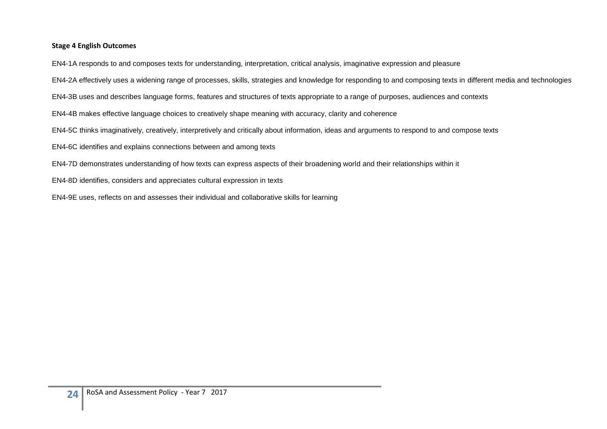#### **Stage 4 English Outcomes**

EN4-1A responds to and composes texts for understanding, interpretation, critical analysis, imaginative expression and pleasure

EN4-2A effectively uses a widening range of processes, skills, strategies and knowledge for responding to and composing texts in different media and technologies

EN4-3B uses and describes language forms, features and structures of texts appropriate to a range of purposes, audiences and contexts

EN4-4B makes effective language choices to creatively shape meaning with accuracy, clarity and coherence

EN4-5C thinks imaginatively, creatively, interpretively and critically about information, ideas and arguments to respond to and compose texts

EN4-6C identifies and explains connections between and among texts

EN4-7D demonstrates understanding of how texts can express aspects of their broadening world and their relationships within it

EN4-8D identifies, considers and appreciates cultural expression in texts

EN4-9E uses, reflects on and assesses their individual and collaborative skills for learning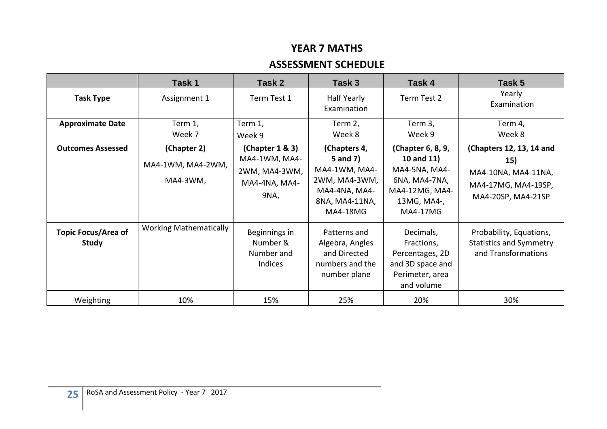## **YEAR 7 MATHS**

### **ASSESSMENT SCHEDULE**

|                                            | Task 1                                       | Task 2                                                                     | Task 3                                                                                                           | Task 4                                                                                                                | Task 5                                                                                              |
|--------------------------------------------|----------------------------------------------|----------------------------------------------------------------------------|------------------------------------------------------------------------------------------------------------------|-----------------------------------------------------------------------------------------------------------------------|-----------------------------------------------------------------------------------------------------|
| <b>Task Type</b>                           | Assignment 1                                 | Term Test 1                                                                | Half Yearly<br>Examination                                                                                       | Term Test 2                                                                                                           | Yearly<br>Examination                                                                               |
| <b>Approximate Date</b>                    | Term 1,<br>Week 7                            | Term 1,<br>Week 9                                                          | Term 2,<br>Week 8                                                                                                | Term 3,<br>Week 9                                                                                                     | Term 4,<br>Week 8                                                                                   |
| <b>Outcomes Assessed</b>                   | (Chapter 2)<br>MA4-1WM, MA4-2WM,<br>MA4-3WM, | (Chapter 1 & 3)<br>MA4-1WM, MA4-<br>2WM, MA4-3WM,<br>MA4-4NA, MA4-<br>9NA, | (Chapters 4,<br>5 and 7)<br>MA4-1WM, MA4-<br>2WM, MA4-3WM,<br>MA4-4NA, MA4-<br>8NA, MA4-11NA,<br><b>MA4-18MG</b> | (Chapter 6, 8, 9,<br>10 and 11)<br>MA4-5NA, MA4-<br>6NA, MA4-7NA,<br>MA4-12MG, MA4-<br>13MG, MA4-,<br><b>MA4-17MG</b> | (Chapters 12, 13, 14 and<br>15)<br>MA4-10NA, MA4-11NA,<br>MA4-17MG, MA4-19SP,<br>MA4-20SP, MA4-21SP |
| <b>Topic Focus/Area of</b><br><b>Study</b> | <b>Working Mathematically</b>                | Beginnings in<br>Number &<br>Number and<br>Indices                         | Patterns and<br>Algebra, Angles<br>and Directed<br>numbers and the<br>number plane                               | Decimals,<br>Fractions,<br>Percentages, 2D<br>and 3D space and<br>Perimeter, area<br>and volume                       | Probability, Equations,<br><b>Statistics and Symmetry</b><br>and Transformations                    |
| Weighting                                  | 10%                                          | 15%                                                                        | 25%                                                                                                              | 20%                                                                                                                   | 30%                                                                                                 |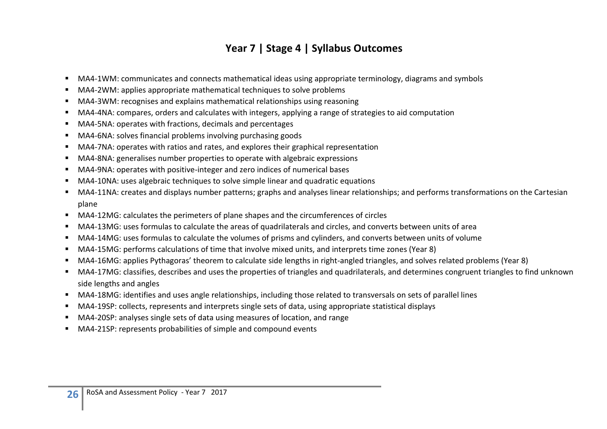## **Year 7 | Stage 4 | Syllabus Outcomes**

- MA4-1WM: communicates and connects mathematical ideas using appropriate terminology, diagrams and symbols
- MA4-2WM: applies appropriate mathematical techniques to solve problems
- MA4-3WM: recognises and explains mathematical relationships using reasoning
- MA4-4NA: compares, orders and calculates with integers, applying a range of strategies to aid computation
- MA4-5NA: operates with fractions, decimals and percentages
- MA4-6NA: solves financial problems involving purchasing goods
- MA4-7NA: operates with ratios and rates, and explores their graphical representation
- MA4-8NA: generalises number properties to operate with algebraic expressions
- MA4-9NA: operates with positive-integer and zero indices of numerical bases
- MA4-10NA: uses algebraic techniques to solve simple linear and quadratic equations
- MA4-11NA: creates and displays number patterns; graphs and analyses linear relationships; and performs transformations on the Cartesian plane
- MA4-12MG: calculates the perimeters of plane shapes and the circumferences of circles
- MA4-13MG: uses formulas to calculate the areas of quadrilaterals and circles, and converts between units of area
- MA4-14MG: uses formulas to calculate the volumes of prisms and cylinders, and converts between units of volume
- MA4-15MG: performs calculations of time that involve mixed units, and interprets time zones (Year 8)
- MA4-16MG: applies Pythagoras' theorem to calculate side lengths in right-angled triangles, and solves related problems (Year 8)
- MA4-17MG: classifies, describes and uses the properties of triangles and quadrilaterals, and determines congruent triangles to find unknown side lengths and angles
- MA4-18MG: identifies and uses angle relationships, including those related to transversals on sets of parallel lines
- MA4-19SP: collects, represents and interprets single sets of data, using appropriate statistical displays
- MA4-20SP: analyses single sets of data using measures of location, and range
- MA4-21SP: represents probabilities of simple and compound events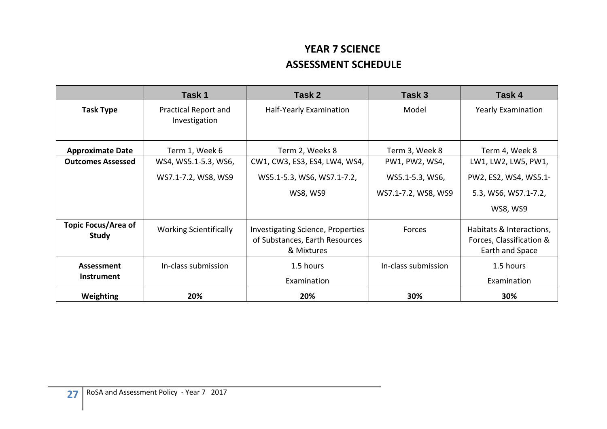## **YEAR 7 SCIENCE ASSESSMENT SCHEDULE**

|                                            | Task 1                                | Task 2<br>Task 3                                                                         |                     | Task 4                                                                  |
|--------------------------------------------|---------------------------------------|------------------------------------------------------------------------------------------|---------------------|-------------------------------------------------------------------------|
| <b>Task Type</b>                           | Practical Report and<br>Investigation | Half-Yearly Examination                                                                  | Model               | <b>Yearly Examination</b>                                               |
| <b>Approximate Date</b>                    | Term 1, Week 6                        | Term 2, Weeks 8                                                                          | Term 3, Week 8      | Term 4, Week 8                                                          |
| <b>Outcomes Assessed</b>                   | WS4, WS5.1-5.3, WS6,                  | CW1, CW3, ES3, ES4, LW4, WS4,                                                            | PW1, PW2, WS4,      | LW1, LW2, LW5, PW1,                                                     |
|                                            | WS7.1-7.2, WS8, WS9                   | WS5.1-5.3, WS6, WS7.1-7.2,                                                               | WS5.1-5.3, WS6,     | PW2, ES2, WS4, WS5.1-                                                   |
|                                            |                                       | <b>WS8, WS9</b>                                                                          | WS7.1-7.2, WS8, WS9 | 5.3, WS6, WS7.1-7.2,                                                    |
|                                            |                                       |                                                                                          |                     | <b>WS8, WS9</b>                                                         |
| <b>Topic Focus/Area of</b><br><b>Study</b> | <b>Working Scientifically</b>         | <b>Investigating Science, Properties</b><br>of Substances, Earth Resources<br>& Mixtures | Forces              | Habitats & Interactions,<br>Forces, Classification &<br>Earth and Space |
| Assessment                                 | In-class submission                   | 1.5 hours                                                                                | In-class submission | 1.5 hours                                                               |
| <b>Instrument</b>                          |                                       | Examination                                                                              |                     | Examination                                                             |
| <b>Weighting</b>                           | 20%                                   | 20%                                                                                      | 30%                 | 30%                                                                     |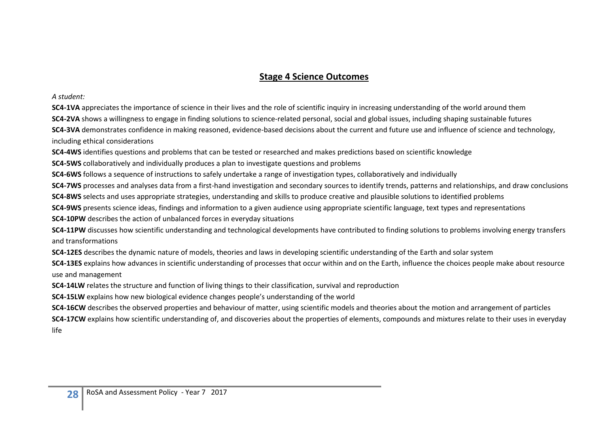#### **Stage 4 Science Outcomes**

*A student:*

**SC4-1VA** appreciates the importance of science in their lives and the role of scientific inquiry in increasing understanding of the world around them

**SC4-2VA** shows a willingness to engage in finding solutions to science-related personal, social and global issues, including shaping sustainable futures

**SC4-3VA** demonstrates confidence in making reasoned, evidence-based decisions about the current and future use and influence of science and technology, including ethical considerations

**SC4-4WS** identifies questions and problems that can be tested or researched and makes predictions based on scientific knowledge

**SC4-5WS** collaboratively and individually produces a plan to investigate questions and problems

**SC4-6WS** follows a sequence of instructions to safely undertake a range of investigation types, collaboratively and individually

**SC4-7WS** processes and analyses data from a first-hand investigation and secondary sources to identify trends, patterns and relationships, and draw conclusions

**SC4-8WS** selects and uses appropriate strategies, understanding and skills to produce creative and plausible solutions to identified problems

**SC4-9WS** presents science ideas, findings and information to a given audience using appropriate scientific language, text types and representations

**SC4-10PW** describes the action of unbalanced forces in everyday situations

**SC4-11PW** discusses how scientific understanding and technological developments have contributed to finding solutions to problems involving energy transfers and transformations

**SC4-12ES** describes the dynamic nature of models, theories and laws in developing scientific understanding of the Earth and solar system

**SC4-13ES** explains how advances in scientific understanding of processes that occur within and on the Earth, influence the choices people make about resource use and management

**SC4-14LW** relates the structure and function of living things to their classification, survival and reproduction

**SC4-15LW** explains how new biological evidence changes people's understanding of the world

**SC4-16CW** describes the observed properties and behaviour of matter, using scientific models and theories about the motion and arrangement of particles

**SC4-17CW** explains how scientific understanding of, and discoveries about the properties of elements, compounds and mixtures relate to their uses in everyday life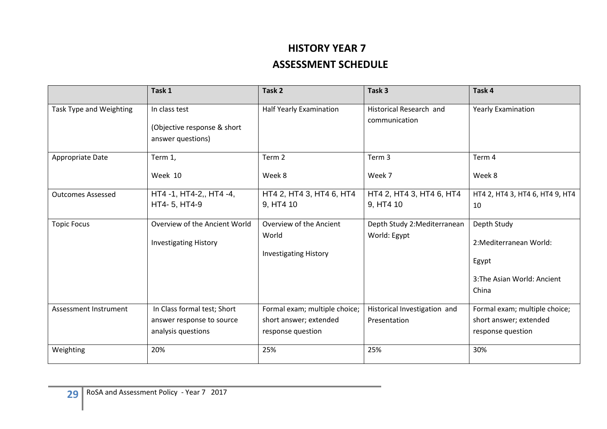## **HISTORY YEAR 7 ASSESSMENT SCHEDULE**

|                          | Task 1                                                                         | Task <sub>2</sub>                                                            | Task 3                                       | Task 4                                                                                  |
|--------------------------|--------------------------------------------------------------------------------|------------------------------------------------------------------------------|----------------------------------------------|-----------------------------------------------------------------------------------------|
| Task Type and Weighting  | In class test<br>(Objective response & short<br>answer questions)              | <b>Half Yearly Examination</b>                                               | Historical Research and<br>communication     | <b>Yearly Examination</b>                                                               |
| Appropriate Date         | Term 1,<br>Week 10                                                             | Term <sub>2</sub><br>Week 8                                                  | Term 3<br>Week 7                             | Term 4<br>Week 8                                                                        |
| <b>Outcomes Assessed</b> | HT4 -1, HT4-2,, HT4 -4,<br>HT4- 5, HT4-9                                       | HT4 2, HT4 3, HT4 6, HT4<br>9, HT4 10                                        | HT4 2, HT4 3, HT4 6, HT4<br>9, HT4 10        | HT4 2, HT4 3, HT4 6, HT4 9, HT4<br>10                                                   |
| <b>Topic Focus</b>       | Overview of the Ancient World<br><b>Investigating History</b>                  | Overview of the Ancient<br>World<br><b>Investigating History</b>             | Depth Study 2:Mediterranean<br>World: Egypt  | Depth Study<br>2: Mediterranean World:<br>Egypt<br>3: The Asian World: Ancient<br>China |
| Assessment Instrument    | In Class formal test; Short<br>answer response to source<br>analysis questions | Formal exam; multiple choice;<br>short answer; extended<br>response question | Historical Investigation and<br>Presentation | Formal exam; multiple choice;<br>short answer; extended<br>response question            |
| Weighting                | 20%                                                                            | 25%                                                                          | 25%                                          | 30%                                                                                     |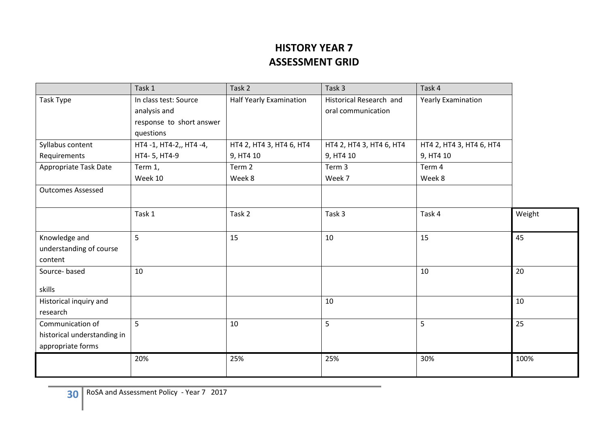## **HISTORY YEAR 7 ASSESSMENT GRID**

|                             | Task 1                   | Task 2                   | Task 3                   | Task 4                    |        |
|-----------------------------|--------------------------|--------------------------|--------------------------|---------------------------|--------|
| Task Type                   | In class test: Source    | Half Yearly Examination  | Historical Research and  | <b>Yearly Examination</b> |        |
|                             | analysis and             |                          | oral communication       |                           |        |
|                             | response to short answer |                          |                          |                           |        |
|                             | questions                |                          |                          |                           |        |
| Syllabus content            | HT4-1, HT4-2,, HT4-4,    | HT4 2, HT4 3, HT4 6, HT4 | HT4 2, HT4 3, HT4 6, HT4 | HT4 2, HT4 3, HT4 6, HT4  |        |
| Requirements                | HT4-5, HT4-9             | 9, HT4 10                | 9, HT4 10                | 9, HT4 10                 |        |
| Appropriate Task Date       | Term 1,                  | Term 2                   | Term 3                   | Term 4                    |        |
|                             | Week 10                  | Week 8                   | Week 7                   | Week 8                    |        |
| <b>Outcomes Assessed</b>    |                          |                          |                          |                           |        |
|                             |                          |                          |                          |                           |        |
|                             | Task 1                   | Task 2                   | Task 3                   | Task 4                    | Weight |
|                             |                          |                          |                          |                           |        |
| Knowledge and               | 5                        | 15                       | 10                       | 15                        | 45     |
| understanding of course     |                          |                          |                          |                           |        |
| content                     |                          |                          |                          | 10                        | 20     |
| Source-based                | 10                       |                          |                          |                           |        |
| skills                      |                          |                          |                          |                           |        |
| Historical inquiry and      |                          |                          | 10                       |                           | 10     |
| research                    |                          |                          |                          |                           |        |
| Communication of            | 5                        | 10                       | 5                        | 5                         | 25     |
| historical understanding in |                          |                          |                          |                           |        |
| appropriate forms           |                          |                          |                          |                           |        |
|                             | 20%                      | 25%                      | 25%                      | 30%                       | 100%   |
|                             |                          |                          |                          |                           |        |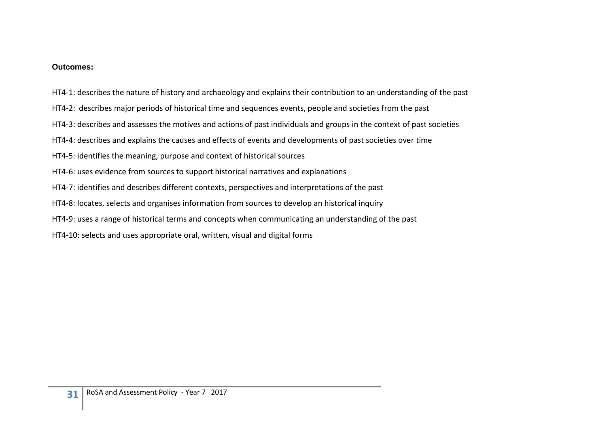#### **Outcomes:**

HT4-1: describes the nature of history and archaeology and explains their contribution to an understanding of the past

- HT4-2: describes major periods of historical time and sequences events, people and societies from the past
- HT4-3: describes and assesses the motives and actions of past individuals and groups in the context of past societies
- HT4-4: describes and explains the causes and effects of events and developments of past societies over time
- HT4-5: identifies the meaning, purpose and context of historical sources
- HT4-6: uses evidence from sources to support historical narratives and explanations
- HT4-7: identifies and describes different contexts, perspectives and interpretations of the past
- HT4-8: locates, selects and organises information from sources to develop an historical inquiry
- HT4-9: uses a range of historical terms and concepts when communicating an understanding of the past
- HT4-10: selects and uses appropriate oral, written, visual and digital forms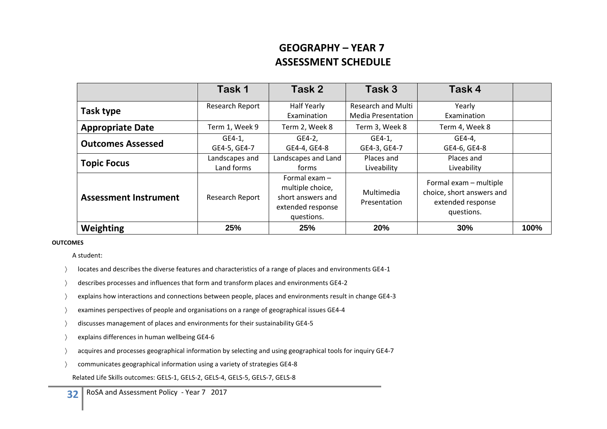## **GEOGRAPHY – YEAR 7 ASSESSMENT SCHEDULE**

|                              | Task 1                       | Task 2                                                                                      | Task 3                                                 | Task 4                                                                                 |      |
|------------------------------|------------------------------|---------------------------------------------------------------------------------------------|--------------------------------------------------------|----------------------------------------------------------------------------------------|------|
| Task type                    | Research Report              | Half Yearly<br>Examination                                                                  | <b>Research and Multi</b><br><b>Media Presentation</b> | Yearly<br>Examination                                                                  |      |
| <b>Appropriate Date</b>      | Term 1, Week 9               | Term 2, Week 8                                                                              | Term 3, Week 8                                         | Term 4, Week 8                                                                         |      |
| <b>Outcomes Assessed</b>     | GE4-1,<br>GE4-5, GE4-7       | GE4-2,<br>GE4-4, GE4-8                                                                      | $GE4-1$ ,<br>GE4-3, GE4-7                              | GE4-4,<br>GE4-6, GE4-8                                                                 |      |
| <b>Topic Focus</b>           | Landscapes and<br>Land forms | Landscapes and Land<br>forms                                                                | Places and<br>Liveability                              | Places and<br>Liveability                                                              |      |
| <b>Assessment Instrument</b> | Research Report              | Formal exam $-$<br>multiple choice,<br>short answers and<br>extended response<br>questions. | Multimedia<br>Presentation                             | Formal exam - multiple<br>choice, short answers and<br>extended response<br>questions. |      |
| Weighting                    | 25%                          | 25%                                                                                         | 20%                                                    | 30%                                                                                    | 100% |

#### **OUTCOMES**

A student:

- locates and describes the diverse features and characteristics of a range of places and environments GE4-1
- describes processes and influences that form and transform places and environments GE4-2
- explains how interactions and connections between people, places and environments result in change GE4-3
- examines perspectives of people and organisations on a range of geographical issues GE4-4
- discusses management of places and environments for their sustainability GE4-5
- explains differences in human wellbeing GE4-6
- acquires and processes geographical information by selecting and using geographical tools for inquiry GE4-7
- communicates geographical information using a variety of strategies GE4-8
	- Related Life Skills outcomes: GELS-1, GELS-2, GELS-4, GELS-5, GELS-7, GELS-8

**32** RoSA and Assessment Policy - Year 7 2017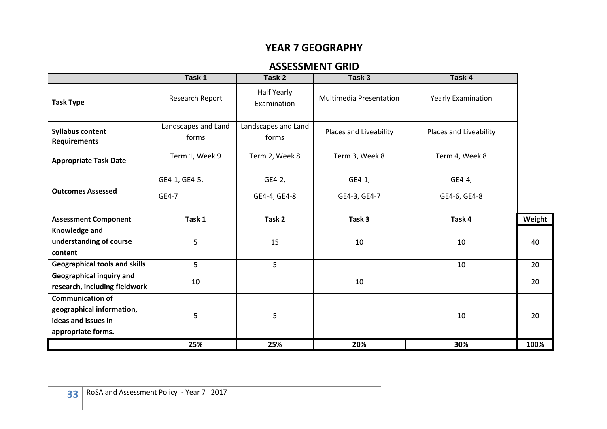### **YEAR 7 GEOGRAPHY**

### **ASSESSMENT GRID**

|                                                                                                   | Task 1                       | Task 2                       | Task 3                  | Task 4                    |        |
|---------------------------------------------------------------------------------------------------|------------------------------|------------------------------|-------------------------|---------------------------|--------|
| <b>Task Type</b>                                                                                  | Research Report              | Half Yearly<br>Examination   | Multimedia Presentation | <b>Yearly Examination</b> |        |
| <b>Syllabus content</b><br><b>Requirements</b>                                                    | Landscapes and Land<br>forms | Landscapes and Land<br>forms | Places and Liveability  | Places and Liveability    |        |
| <b>Appropriate Task Date</b>                                                                      | Term 1, Week 9               | Term 2, Week 8               | Term 3, Week 8          | Term 4, Week 8            |        |
|                                                                                                   | GE4-1, GE4-5,                | GE4-2,                       | GE4-1,                  | GE4-4,                    |        |
| <b>Outcomes Assessed</b>                                                                          | GE4-7                        | GE4-4, GE4-8                 | GE4-3, GE4-7            | GE4-6, GE4-8              |        |
| <b>Assessment Component</b>                                                                       | Task 1                       | Task 2                       | Task 3                  | Task 4                    | Weight |
| Knowledge and<br>understanding of course<br>content                                               | 5                            | 15                           | 10                      | 10                        | 40     |
| <b>Geographical tools and skills</b>                                                              | 5                            | 5                            |                         | 10                        | 20     |
| <b>Geographical inquiry and</b><br>research, including fieldwork                                  | 10                           |                              | 10                      |                           | 20     |
| <b>Communication of</b><br>geographical information,<br>ideas and issues in<br>appropriate forms. | 5                            | 5                            |                         | 10                        | 20     |
|                                                                                                   | 25%                          | 25%                          | 20%                     | 30%                       | 100%   |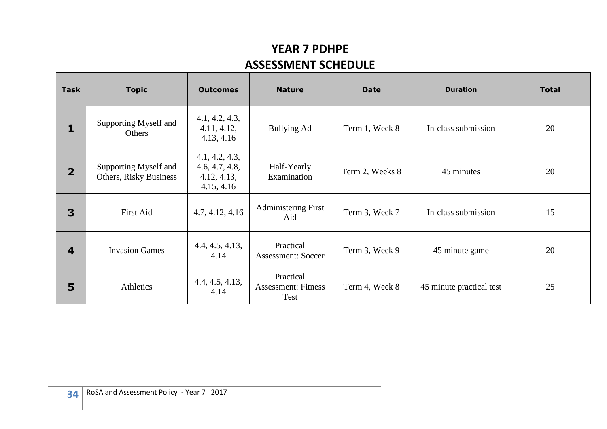## **YEAR 7 PDHPE ASSESSMENT SCHEDULE**

| <b>Task</b>    | <b>Topic</b>                                    | <b>Outcomes</b>                                               | <b>Nature</b>                                   | <b>Date</b>     | <b>Duration</b>          | <b>Total</b> |
|----------------|-------------------------------------------------|---------------------------------------------------------------|-------------------------------------------------|-----------------|--------------------------|--------------|
| 1              | Supporting Myself and<br>Others                 | 4.1, 4.2, 4.3,<br>4.11, 4.12,<br>4.13, 4.16                   | Bullying Ad                                     | Term 1, Week 8  | In-class submission      | 20           |
| $\overline{2}$ | Supporting Myself and<br>Others, Risky Business | 4.1, 4.2, 4.3,<br>4.6, 4.7, 4.8,<br>4.12, 4.13,<br>4.15, 4.16 | Half-Yearly<br>Examination                      | Term 2, Weeks 8 | 45 minutes               | 20           |
| 3              | First Aid                                       | 4.7, 4.12, 4.16                                               | <b>Administering First</b><br>Aid               | Term 3, Week 7  | In-class submission      | 15           |
| 4              | <b>Invasion Games</b>                           | 4.4, 4.5, 4.13,<br>4.14                                       | Practical<br><b>Assessment: Soccer</b>          | Term 3, Week 9  | 45 minute game           | 20           |
| 5              | Athletics                                       | 4.4, 4.5, 4.13,<br>4.14                                       | Practical<br><b>Assessment: Fitness</b><br>Test | Term 4, Week 8  | 45 minute practical test | 25           |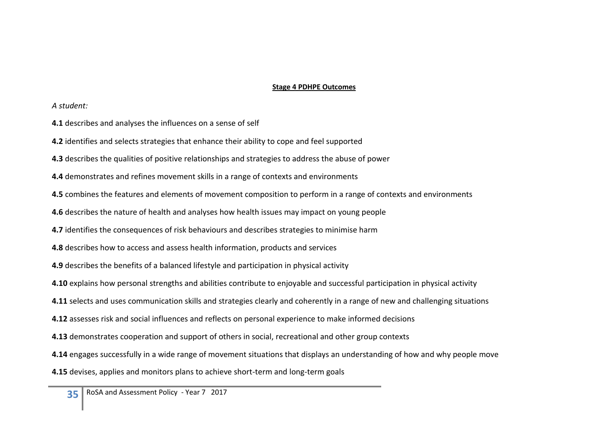#### **Stage 4 PDHPE Outcomes**

#### *A student:*

- **4.1** describes and analyses the influences on a sense of self
- **4.2** identifies and selects strategies that enhance their ability to cope and feel supported
- **4.3** describes the qualities of positive relationships and strategies to address the abuse of power
- **4.4** demonstrates and refines movement skills in a range of contexts and environments
- **4.5** combines the features and elements of movement composition to perform in a range of contexts and environments
- **4.6** describes the nature of health and analyses how health issues may impact on young people
- **4.7** identifies the consequences of risk behaviours and describes strategies to minimise harm
- **4.8** describes how to access and assess health information, products and services
- **4.9** describes the benefits of a balanced lifestyle and participation in physical activity
- **4.10** explains how personal strengths and abilities contribute to enjoyable and successful participation in physical activity
- **4.11** selects and uses communication skills and strategies clearly and coherently in a range of new and challenging situations
- **4.12** assesses risk and social influences and reflects on personal experience to make informed decisions
- **4.13** demonstrates cooperation and support of others in social, recreational and other group contexts
- **4.14** engages successfully in a wide range of movement situations that displays an understanding of how and why people move
- **4.15** devises, applies and monitors plans to achieve short-term and long-term goals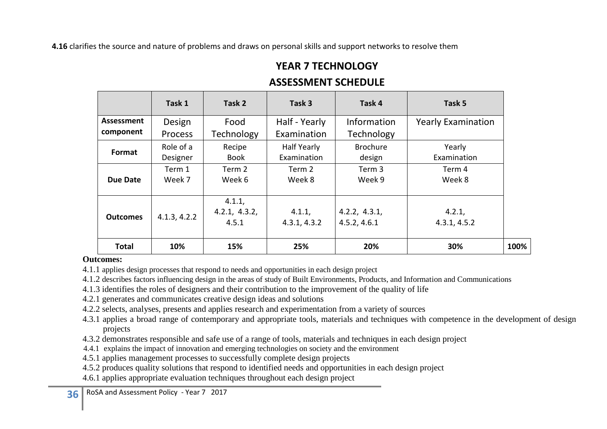**4.16** clarifies the source and nature of problems and draws on personal skills and support networks to resolve them

## **YEAR 7 TECHNOLOGY**

### **ASSESSMENT SCHEDULE**

|                 | Task 1                | Task 2                           | Task 3                            | Task 4                        | Task 5                    |
|-----------------|-----------------------|----------------------------------|-----------------------------------|-------------------------------|---------------------------|
| Assessment      | Design                | Food                             | Half - Yearly                     | Information                   | <b>Yearly Examination</b> |
| component       | <b>Process</b>        | <b>Technology</b>                | Examination                       | Technology                    |                           |
| Format          | Role of a<br>Designer | Recipe<br><b>Book</b>            | <b>Half Yearly</b><br>Examination | <b>Brochure</b><br>design     | Yearly<br>Examination     |
| Due Date        | Term 1<br>Week 7      | Term 2<br>Week 6                 | Term 2<br>Week 8                  | Term 3<br>Week 9              | Term 4<br>Week 8          |
| <b>Outcomes</b> | 4.1.3, 4.2.2          | 4.1.1,<br>4.2.1, 4.3.2,<br>4.5.1 | 4.1.1,<br>4.3.1, 4.3.2            | 4.2.2, 4.3.1,<br>4.5.2, 4.6.1 | 4.2.1,<br>4.3.1, 4.5.2    |
| <b>Total</b>    | 10%                   | 15%                              | 25%                               | 20%                           | 30%                       |

#### **Outcomes:**

4.1.1 applies design processes that respond to needs and opportunities in each design project

4.1.2 describes factors influencing design in the areas of study of Built Environments, Products, and Information and Communications

4.1.3 identifies the roles of designers and their contribution to the improvement of the quality of life

4.2.1 generates and communicates creative design ideas and solutions

4.2.2 selects, analyses, presents and applies research and experimentation from a variety of sources

4.3.1 applies a broad range of contemporary and appropriate tools, materials and techniques with competence in the development of design projects

4.3.2 demonstrates responsible and safe use of a range of tools, materials and techniques in each design project

4.4.1 explains the impact of innovation and emerging technologies on society and the environment

4.5.1 applies management processes to successfully complete design projects

4.5.2 produces quality solutions that respond to identified needs and opportunities in each design project

4.6.1 applies appropriate evaluation techniques throughout each design project

**36** RoSA and Assessment Policy - Year 7 2017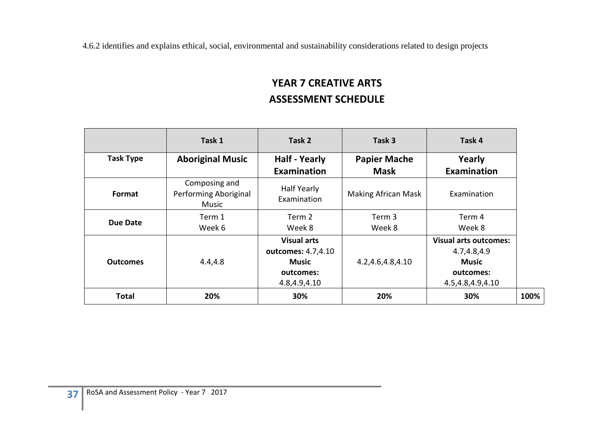4.6.2 identifies and explains ethical, social, environmental and sustainability considerations related to design projects

## **YEAR 7 CREATIVE ARTS ASSESSMENT SCHEDULE**

|                  | Task 1                                          | Task 2                                                                                | Task 3                             | Task 4                                                                                       |
|------------------|-------------------------------------------------|---------------------------------------------------------------------------------------|------------------------------------|----------------------------------------------------------------------------------------------|
| <b>Task Type</b> | <b>Aboriginal Music</b>                         | <b>Half - Yearly</b><br><b>Examination</b>                                            | <b>Papier Mache</b><br><b>Mask</b> | Yearly<br><b>Examination</b>                                                                 |
| Format           | Composing and<br>Performing Aboriginal<br>Music | Half Yearly<br>Examination                                                            | <b>Making African Mask</b>         | Examination                                                                                  |
| <b>Due Date</b>  | Term 1<br>Week 6                                | Term 2<br>Week 8                                                                      | Term 3<br>Week 8                   | Term 4<br>Week 8                                                                             |
| <b>Outcomes</b>  | 4.4,4.8                                         | <b>Visual arts</b><br>outcomes: 4.7,4.10<br><b>Music</b><br>outcomes:<br>4.8,4.9,4.10 | 4.2,4.6,4.8,4.10                   | <b>Visual arts outcomes:</b><br>4.7,4.8,4.9<br><b>Music</b><br>outcomes:<br>4.5,4.8,4.9,4.10 |
| <b>Total</b>     | 20%                                             | 30%                                                                                   | 20%                                | 30%                                                                                          |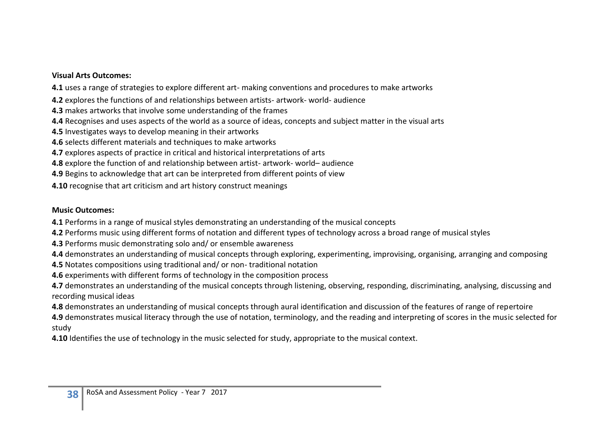#### **Visual Arts Outcomes:**

**4.1** uses a range of strategies to explore different art- making conventions and procedures to make artworks

**4.2** explores the functions of and relationships between artists- artwork- world- audience

- **4.3** makes artworks that involve some understanding of the frames
- **4.4** Recognises and uses aspects of the world as a source of ideas, concepts and subject matter in the visual arts
- **4.5** Investigates ways to develop meaning in their artworks
- **4.6** selects different materials and techniques to make artworks
- **4.7** explores aspects of practice in critical and historical interpretations of arts
- **4.8** explore the function of and relationship between artist- artwork- world– audience
- **4.9** Begins to acknowledge that art can be interpreted from different points of view
- **4.10** recognise that art criticism and art history construct meanings

#### **Music Outcomes:**

- **4.1** Performs in a range of musical styles demonstrating an understanding of the musical concepts
- **4.2** Performs music using different forms of notation and different types of technology across a broad range of musical styles
- **4.3** Performs music demonstrating solo and/ or ensemble awareness
- **4.4** demonstrates an understanding of musical concepts through exploring, experimenting, improvising, organising, arranging and composing
- **4.5** Notates compositions using traditional and/ or non- traditional notation
- **4.6** experiments with different forms of technology in the composition process

**4.7** demonstrates an understanding of the musical concepts through listening, observing, responding, discriminating, analysing, discussing and recording musical ideas

**4.8** demonstrates an understanding of musical concepts through aural identification and discussion of the features of range of repertoire

**4.9** demonstrates musical literacy through the use of notation, terminology, and the reading and interpreting of scores in the music selected for study

**4.10** Identifies the use of technology in the music selected for study, appropriate to the musical context.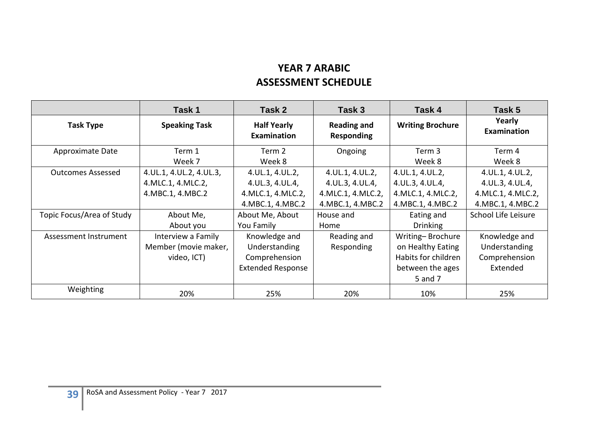## **YEAR 7 ARABIC ASSESSMENT SCHEDULE**

|                           | Task 1                                                                         | Task 2                                                                                      | Task 3                                                                                      | Task 4                                                                                      | Task 5                                                                                      |
|---------------------------|--------------------------------------------------------------------------------|---------------------------------------------------------------------------------------------|---------------------------------------------------------------------------------------------|---------------------------------------------------------------------------------------------|---------------------------------------------------------------------------------------------|
| <b>Task Type</b>          | <b>Speaking Task</b>                                                           | <b>Half Yearly</b><br><b>Examination</b>                                                    | <b>Reading and</b><br><b>Responding</b>                                                     | <b>Writing Brochure</b>                                                                     | Yearly<br>Examination                                                                       |
| Approximate Date          | Term 1<br>Week 7                                                               | Term 2<br>Week 8                                                                            | Ongoing                                                                                     | Term 3<br>Week 8                                                                            | Term 4<br>Week 8                                                                            |
| <b>Outcomes Assessed</b>  | 4. UL. 1, 4. UL. 2, 4. UL. 3,<br>4. MLC. 1, 4. MLC. 2,<br>4. MBC. 1, 4. MBC. 2 | 4. UL. 1, 4. UL. 2,<br>4. UL. 3, 4. UL. 4,<br>4. MLC. 1, 4. MLC. 2,<br>4. MBC. 1, 4. MBC. 2 | 4. UL. 1, 4. UL. 2,<br>4. UL. 3, 4. UL. 4,<br>4. MLC. 1, 4. MLC. 2,<br>4. MBC. 1, 4. MBC. 2 | 4. UL. 1, 4. UL. 2,<br>4. UL. 3, 4. UL. 4,<br>4. MLC. 1, 4. MLC. 2,<br>4. MBC. 1, 4. MBC. 2 | 4. UL. 1, 4. UL. 2,<br>4. UL. 3, 4. UL. 4,<br>4. MLC. 1, 4. MLC. 2,<br>4. MBC. 1, 4. MBC. 2 |
| Topic Focus/Area of Study | About Me,<br>About you                                                         | About Me, About<br>You Family                                                               | House and<br>Home                                                                           | Eating and<br>Drinking                                                                      | School Life Leisure                                                                         |
| Assessment Instrument     | Interview a Family<br>Member (movie maker,<br>video, ICT)                      | Knowledge and<br>Understanding<br>Comprehension<br><b>Extended Response</b>                 | Reading and<br>Responding                                                                   | Writing-Brochure<br>on Healthy Eating<br>Habits for children<br>between the ages<br>5 and 7 | Knowledge and<br>Understanding<br>Comprehension<br>Extended                                 |
| Weighting                 | 20%                                                                            | 25%                                                                                         | 20%                                                                                         | 10%                                                                                         | 25%                                                                                         |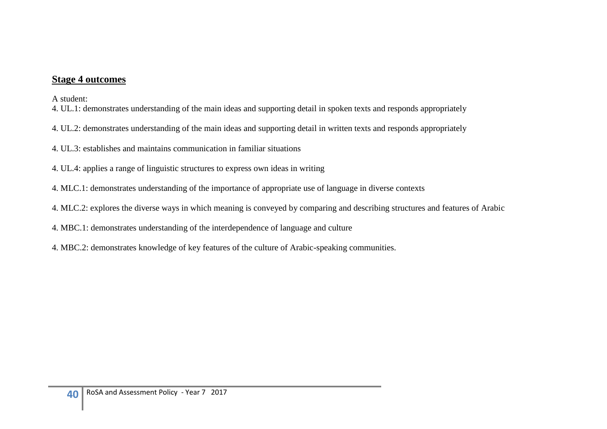#### **Stage 4 outcomes**

A student:

- 4. UL.1: demonstrates understanding of the main ideas and supporting detail in spoken texts and responds appropriately
- 4. UL.2: demonstrates understanding of the main ideas and supporting detail in written texts and responds appropriately
- 4. UL.3: establishes and maintains communication in familiar situations
- 4. UL.4: applies a range of linguistic structures to express own ideas in writing
- 4. MLC.1: demonstrates understanding of the importance of appropriate use of language in diverse contexts
- 4. MLC.2: explores the diverse ways in which meaning is conveyed by comparing and describing structures and features of Arabic
- 4. MBC.1: demonstrates understanding of the interdependence of language and culture
- 4. MBC.2: demonstrates knowledge of key features of the culture of Arabic-speaking communities.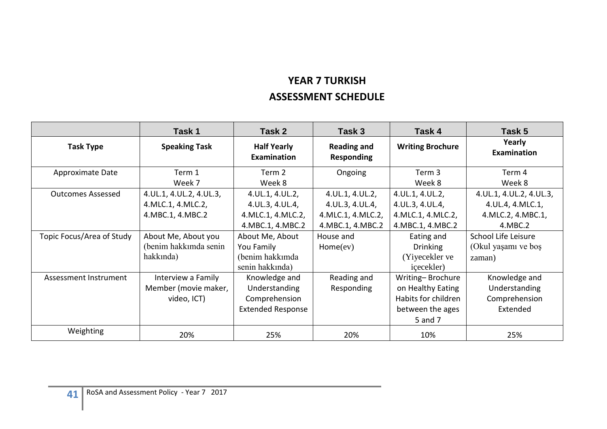## **YEAR 7 TURKISH ASSESSMENT SCHEDULE**

|                           | Task 1                        | Task 2                                   | Task 3                           | Task 4                  | Task 5                        |
|---------------------------|-------------------------------|------------------------------------------|----------------------------------|-------------------------|-------------------------------|
| <b>Task Type</b>          | <b>Speaking Task</b>          | <b>Half Yearly</b><br><b>Examination</b> | <b>Reading and</b><br>Responding | <b>Writing Brochure</b> | Yearly<br><b>Examination</b>  |
| Approximate Date          | Term 1                        | Term 2                                   | Ongoing                          | Term 3                  | Term 4                        |
|                           | Week 7                        | Week 8                                   |                                  | Week 8                  | Week 8                        |
| <b>Outcomes Assessed</b>  | 4. UL. 1, 4. UL. 2, 4. UL. 3, | 4. UL. 1, 4. UL. 2,                      | 4. UL. 1, 4. UL. 2,              | 4. UL. 1, 4. UL. 2,     | 4. UL. 1, 4. UL. 2, 4. UL. 3, |
|                           | 4. MLC. 1, 4. MLC. 2,         | 4. UL. 3, 4. UL. 4,                      | 4. UL. 3, 4. UL. 4,              | 4. UL. 3, 4. UL. 4,     | 4. UL. 4, 4. MLC. 1,          |
|                           | 4. MBC. 1, 4. MBC. 2          | 4. MLC. 1, 4. MLC. 2,                    | 4. MLC. 1, 4. MLC. 2,            | 4. MLC. 1, 4. MLC. 2,   | 4. MLC. 2, 4. MBC. 1,         |
|                           |                               | 4. MBC. 1, 4. MBC. 2                     | 4. MBC. 1, 4. MBC. 2             | 4. MBC. 1, 4. MBC. 2    | 4.MBC.2                       |
| Topic Focus/Area of Study | About Me, About you           | About Me, About                          | House and                        | Eating and              | School Life Leisure           |
|                           | (benim hakkımda senin         | You Family                               | Home(ev)                         | <b>Drinking</b>         | (Okul yaşamı ve boş           |
|                           | hakkında)                     | (benim hakkımda                          |                                  | (Yiyecekler ve          | zaman)                        |
|                           |                               | senin hakkında)                          |                                  | icecekler)              |                               |
| Assessment Instrument     | Interview a Family            | Knowledge and                            | Reading and                      | Writing-Brochure        | Knowledge and                 |
|                           | Member (movie maker,          | Understanding                            | Responding                       | on Healthy Eating       | Understanding                 |
|                           | video, ICT)                   | Comprehension                            |                                  | Habits for children     | Comprehension                 |
|                           |                               | <b>Extended Response</b>                 |                                  | between the ages        | Extended                      |
|                           |                               |                                          |                                  | 5 and 7                 |                               |
| Weighting                 | 20%                           | 25%                                      | 20%                              | 10%                     | 25%                           |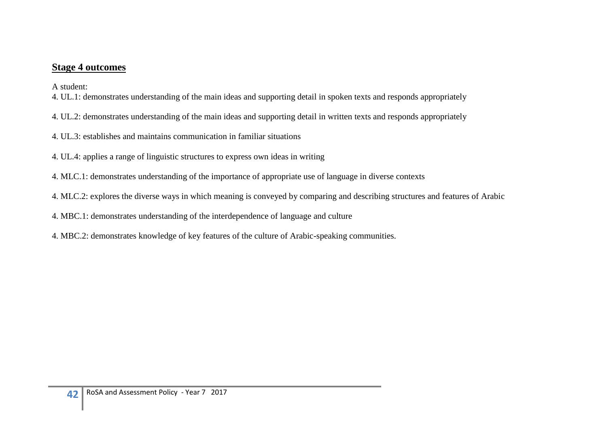#### **Stage 4 outcomes**

A student:

- 4. UL.1: demonstrates understanding of the main ideas and supporting detail in spoken texts and responds appropriately
- 4. UL.2: demonstrates understanding of the main ideas and supporting detail in written texts and responds appropriately
- 4. UL.3: establishes and maintains communication in familiar situations
- 4. UL.4: applies a range of linguistic structures to express own ideas in writing
- 4. MLC.1: demonstrates understanding of the importance of appropriate use of language in diverse contexts
- 4. MLC.2: explores the diverse ways in which meaning is conveyed by comparing and describing structures and features of Arabic
- 4. MBC.1: demonstrates understanding of the interdependence of language and culture
- 4. MBC.2: demonstrates knowledge of key features of the culture of Arabic-speaking communities.